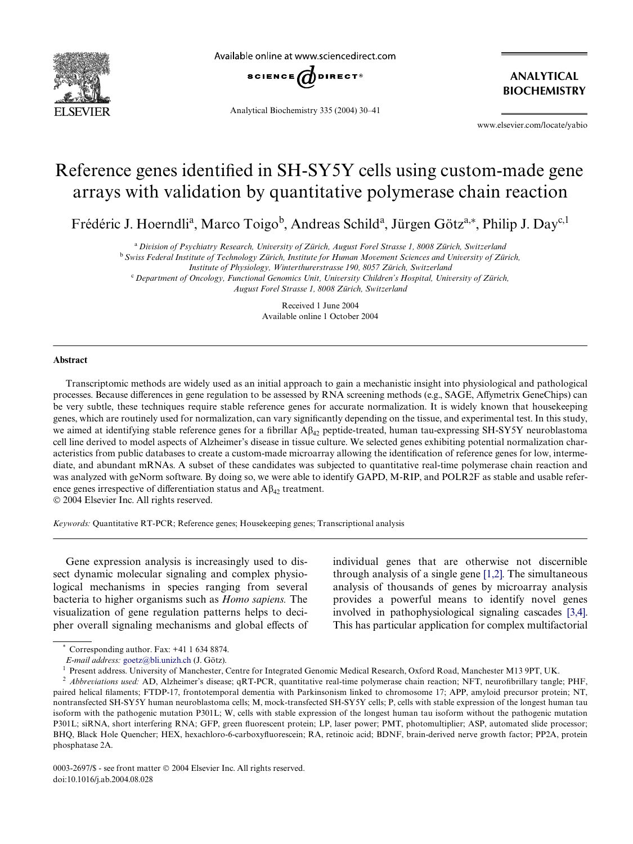

Available online at www.sciencedirect.com



Analytical Biochemistry 335 (2004) 30–41

**ANALYTICAL BIOCHEMISTRY**

www.elsevier.com/locate/yabio

# Reference genes identified in SH-SY5Y cells using custom-made gene arrays with validation by quantitative polymerase chain reaction

Frédéric J. Hoerndli<sup>a</sup>, Marco Toigo<sup>b</sup>, Andreas Schild<sup>a</sup>, Jürgen Götz<sup>a,\*</sup>, Philip J. Day<sup>c,1</sup>

<sup>a</sup>*Division of Psychiatry Research, University of Zürich, August Forel Strasse 1, 8008 Zürich, Switzerland*

<sup>b</sup>*Swiss Federal Institute of Technology Zürich, Institute for Human Movement Sciences and University of Zürich,* 

*Institute of Physiology, Winterthurerstrasse 190, 8057 Zürich, Switzerland*

<sup>c</sup>*Department of Oncology, Functional Genomics Unit, University Children's Hospital, University of Zürich,* 

*August Forel Strasse 1, 8008 Zürich, Switzerland*

Received 1 June 2004 Available online 1 October 2004

#### **Abstract**

Transcriptomic methods are widely used as an initial approach to gain a mechanistic insight into physiological and pathological processes. Because differences in gene regulation to be assessed by RNA screening methods (e.g., SAGE, Affymetrix GeneChips) can be very subtle, these techniques require stable reference genes for accurate normalization. It is widely known that housekeeping genes, which are routinely used for normalization, can vary significantly depending on the tissue, and experimental test. In this study, we aimed at identifying stable reference genes for a fibrillar  $A\beta_{42}$  peptide-treated, human tau-expressing SH-SY5Y neuroblastoma cell line derived to model aspects of Alzheimer's disease in tissue culture. We selected genes exhibiting potential normalization characteristics from public databases to create a custom-made microarray allowing the identification of reference genes for low, intermediate, and abundant mRNAs. A subset of these candidates was subjected to quantitative real-time polymerase chain reaction and was analyzed with geNorm software. By doing so, we were able to identify GAPD, M-RIP, and POLR2F as stable and usable reference genes irrespective of differentiation status and  $A\beta_{4}$  treatment.

2004 Elsevier Inc. All rights reserved.

*Keywords:* Quantitative RT-PCR; Reference genes; Housekeeping genes; Transcriptional analysis

Gene expression analysis is increasingly used to dissect dynamic molecular signaling and complex physiological mechanisms in species ranging from several bacteria to higher organisms such as *Homo sapiens.* The visualization of gene regulation patterns helps to decipher overall signaling mechanisms and global effects of individual genes that are otherwise not discernible through analysis of a single gene [\[1,2\].](#page-10-0) The simultaneous analysis of thousands of genes by microarray analysis provides a powerful means to identify novel genes involved in pathophysiological signaling cascades [\[3,4\].](#page-10-1) This has particular application for complex multifactorial

Corresponding author. Fax: +41 1 634 8874.

*E-mail address:* [goetz@bli.unizh.ch](mailto: goetz@bli.unizh.ch) (J. Götz).

<sup>&</sup>lt;sup>1</sup> Present address. University of Manchester, Centre for Integrated Genomic Medical Research, Oxford Road, Manchester M13 9PT, UK.

<sup>&</sup>lt;sup>2</sup> *Abbreviations used:* AD, Alzheimer's disease; qRT-PCR, quantitative real-time polymerase chain reaction; NFT, neurofibrillary tangle; PHF, paired helical filaments; FTDP-17, frontotemporal dementia with Parkinsonism linked to chromosome 17; APP, amyloid precursor protein; NT, nontransfected SH-SY5Y human neuroblastoma cells; M, mock-transfected SH-SY5Y cells; P, cells with stable expression of the longest human tau isoform with the pathogenic mutation P301L; W, cells with stable expression of the longest human tau isoform without the pathogenic mutation P301L; siRNA, short interfering RNA; GFP, green fluorescent protein; LP, laser power; PMT, photomultiplier; ASP, automated slide processor; BHQ, Black Hole Quencher; HEX, hexachloro-6-carboxyfluorescein; RA, retinoic acid; BDNF, brain-derived nerve growth factor; PP2A, protein phosphatase 2A.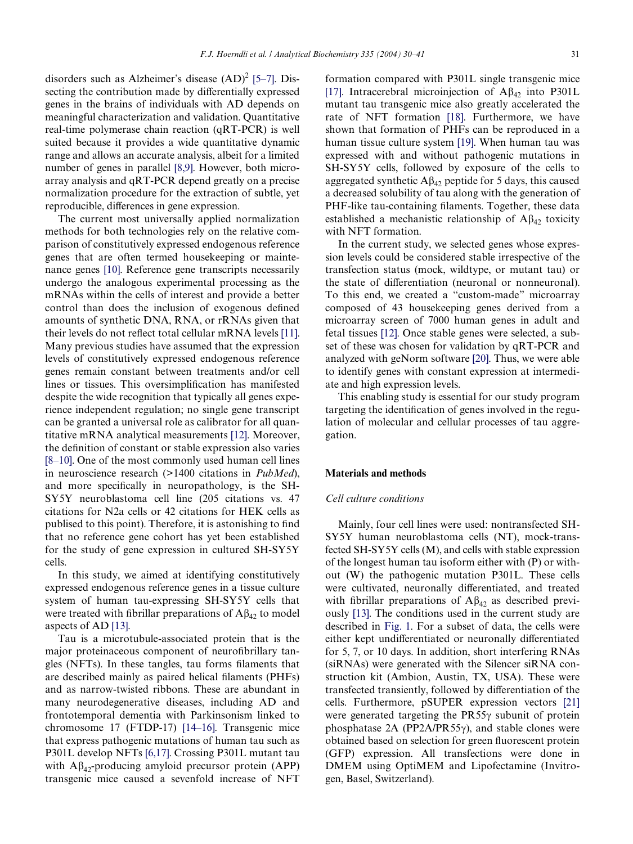disorders such as Alzheimer's disease  $(AD)^2$  [\[5–7\]](#page-10-2). Dissecting the contribution made by differentially expressed genes in the brains of individuals with AD depends on meaningful characterization and validation. Quantitative real-time polymerase chain reaction (qRT-PCR) is well suited because it provides a wide quantitative dynamic range and allows an accurate analysis, albeit for a limited number of genes in parallel [\[8,9\].](#page-10-3) However, both microarray analysis and qRT-PCR depend greatly on a precise normalization procedure for the extraction of subtle, yet reproducible, differences in gene expression.

The current most universally applied normalization methods for both technologies rely on the relative comparison of constitutively expressed endogenous reference genes that are often termed housekeeping or maintenance genes [\[10\]](#page-10-4). Reference gene transcripts necessarily undergo the analogous experimental processing as the mRNAs within the cells of interest and provide a better control than does the inclusion of exogenous defined amounts of synthetic DNA, RNA, or rRNAs given that their levels do not reflect total cellular mRNA levels [\[11\].](#page-10-5) Many previous studies have assumed that the expression levels of constitutively expressed endogenous reference genes remain constant between treatments and/or cell lines or tissues. This oversimplification has manifested despite the wide recognition that typically all genes experience independent regulation; no single gene transcript can be granted a universal role as calibrator for all quantitative mRNA analytical measurements [\[12\].](#page-10-6) Moreover, the definition of constant or stable expression also varies [\[8–10\].](#page-10-3) One of the most commonly used human cell lines in neuroscience research (>1400 citations in *PubMed*), and more specifically in neuropathology, is the SH-SY5Y neuroblastoma cell line (205 citations vs. 47 citations for N2a cells or 42 citations for HEK cells as publised to this point). Therefore, it is astonishing to find that no reference gene cohort has yet been established for the study of gene expression in cultured SH-SY5Y cells.

In this study, we aimed at identifying constitutively expressed endogenous reference genes in a tissue culture system of human tau-expressing SH-SY5Y cells that were treated with fibrillar preparations of  $A\beta_{42}$  to model aspects of AD [\[13\]](#page-10-7).

Tau is a microtubule-associated protein that is the major proteinaceous component of neurofibrillary tangles (NFTs). In these tangles, tau forms filaments that are described mainly as paired helical filaments (PHFs) and as narrow-twisted ribbons. These are abundant in many neurodegenerative diseases, including AD and frontotemporal dementia with Parkinsonism linked to chromosome 17 (FTDP-17) [\[14–16\]](#page-10-8). Transgenic mice that express pathogenic mutations of human tau such as P301L develop NFTs [\[6,17\]](#page-10-9). Crossing P301L mutant tau with  $A\beta_{42}$ -producing amyloid precursor protein (APP) transgenic mice caused a sevenfold increase of NFT

formation compared with P301L single transgenic mice [\[17\]](#page-10-10). Intracerebral microinjection of  $A\beta_{42}$  into P301L mutant tau transgenic mice also greatly accelerated the rate of NFT formation [\[18\]](#page-10-11). Furthermore, we have shown that formation of PHFs can be reproduced in a human tissue culture system [\[19\].](#page-10-12) When human tau was expressed with and without pathogenic mutations in SH-SY5Y cells, followed by exposure of the cells to aggregated synthetic  $A\beta_{42}$  peptide for 5 days, this caused a decreased solubility of tau along with the generation of PHF-like tau-containing filaments. Together, these data established a mechanistic relationship of  $A\beta_{42}$  toxicity with NFT formation.

In the current study, we selected genes whose expression levels could be considered stable irrespective of the transfection status (mock, wildtype, or mutant tau) or the state of differentiation (neuronal or nonneuronal). To this end, we created a "custom-made" microarray composed of 43 housekeeping genes derived from a microarray screen of 7000 human genes in adult and fetal tissues [\[12\].](#page-10-6) Once stable genes were selected, a subset of these was chosen for validation by qRT-PCR and analyzed with geNorm software [\[20\].](#page-10-13) Thus, we were able to identify genes with constant expression at intermediate and high expression levels.

This enabling study is essential for our study program targeting the identification of genes involved in the regulation of molecular and cellular processes of tau aggregation.

# **Materials and methods**

# *Cell culture conditions*

Mainly, four cell lines were used: nontransfected SH-SY5Y human neuroblastoma cells (NT), mock-transfected SH-SY5Y cells (M), and cells with stable expression of the longest human tau isoform either with (P) or without (W) the pathogenic mutation P301L. These cells were cultivated, neuronally differentiated, and treated with fibrillar preparations of  $A\beta_{42}$  as described previously [\[13\]](#page-10-7). The conditions used in the current study are described in [Fig. 1](#page-2-0). For a subset of data, the cells were either kept undifferentiated or neuronally differentiated for 5, 7, or 10 days. In addition, short interfering RNAs (siRNAs) were generated with the Silencer siRNA construction kit (Ambion, Austin, TX, USA). These were transfected transiently, followed by differentiation of the cells. Furthermore, pSUPER expression vectors [\[21\]](#page-10-14) were generated targeting the  $PR55\gamma$  subunit of protein phosphatase  $2A$  (PP2A/PR55 $\gamma$ ), and stable clones were obtained based on selection for green fluorescent protein (GFP) expression. All transfections were done in DMEM using OptiMEM and Lipofectamine (Invitrogen, Basel, Switzerland).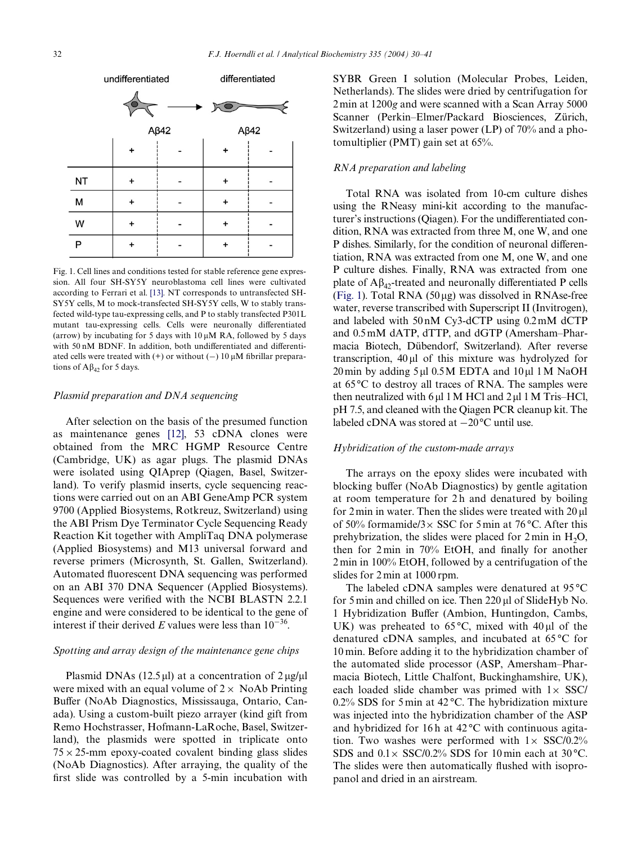

<span id="page-2-0"></span>Fig. 1. Cell lines and conditions tested for stable reference gene expression. All four SH-SY5Y neuroblastoma cell lines were cultivated according to Ferrari et al. [\[13\]](#page-10-7). NT corresponds to untransfected SH-SY5Y cells, M to mock-transfected SH-SY5Y cells, W to stably transfected wild-type tau-expressing cells, and P to stably transfected P301L mutant tau-expressing cells. Cells were neuronally differentiated (arrow) by incubating for 5 days with  $10 \mu M$  RA, followed by 5 days with 50 nM BDNF. In addition, both undifferentiated and differentiated cells were treated with  $(+)$  or without  $(-)$  10  $\mu$ M fibrillar preparations of  $A\beta_4$ , for 5 days.

## *Plasmid preparation and DNA sequencing*

After selection on the basis of the presumed function as maintenance genes [\[12\]](#page-10-6), 53 cDNA clones were obtained from the MRC HGMP Resource Centre (Cambridge, UK) as agar plugs. The plasmid DNAs were isolated using QIAprep (Qiagen, Basel, Switzerland). To verify plasmid inserts, cycle sequencing reactions were carried out on an ABI GeneAmp PCR system 9700 (Applied Biosystems, Rotkreuz, Switzerland) using the ABI Prism Dye Terminator Cycle Sequencing Ready Reaction Kit together with AmpliTaq DNA polymerase (Applied Biosystems) and M13 universal forward and reverse primers (Microsynth, St. Gallen, Switzerland). Automated fluorescent DNA sequencing was performed on an ABI 370 DNA Sequencer (Applied Biosystems). Sequences were verified with the NCBI BLASTN 2.2.1 engine and were considered to be identical to the gene of interest if their derived *E* values were less than  $10^{-36}$ .

## *Spotting and array design of the maintenance gene chips*

Plasmid DNAs (12.5  $\mu$ ) at a concentration of 2  $\mu$ g/ $\mu$ l were mixed with an equal volume of  $2 \times$  NoAb Printing Buffer (NoAb Diagnostics, Mississauga, Ontario, Canada). Using a custom-built piezo arrayer (kind gift from Remo Hochstrasser, Hofmann-LaRoche, Basel, Switzerland), the plasmids were spotted in triplicate onto  $75 \times 25$ -mm epoxy-coated covalent binding glass slides (NoAb Diagnostics). After arraying, the quality of the first slide was controlled by a 5-min incubation with SYBR Green I solution (Molecular Probes, Leiden, Netherlands). The slides were dried by centrifugation for 2 min at 1200*g* and were scanned with a Scan Array 5000 Scanner (Perkin–Elmer/Packard Biosciences, Zürich, Switzerland) using a laser power (LP) of 70% and a photomultiplier (PMT) gain set at 65%.

# *RNA preparation and labeling*

Total RNA was isolated from 10-cm culture dishes using the RNeasy mini-kit according to the manufacturer's instructions (Oiagen). For the undifferentiated condition, RNA was extracted from three M, one W, and one P dishes. Similarly, for the condition of neuronal differentiation, RNA was extracted from one M, one W, and one P culture dishes. Finally, RNA was extracted from one plate of  $A\beta_{42}$ -treated and neuronally differentiated P cells ([Fig. 1](#page-2-0)). Total RNA  $(50 \,\mu$ g) was dissolved in RNAse-free water, reverse transcribed with Superscript II (Invitrogen), and labeled with 50 nM Cy3-dCTP using 0.2 mM dCTP and 0.5 mM dATP, dTTP, and dGTP (Amersham–Pharmacia Biotech, Dübendorf, Switzerland). After reverse transcription,  $40 \mu l$  of this mixture was hydrolyzed for 20 min by adding 5 µl 0.5 M EDTA and 10 µl 1 M NaOH at 65°C to destroy all traces of RNA. The samples were then neutralized with  $6 \mu$ l 1 M HCl and  $2 \mu$ l 1 M Tris–HCl, pH 7.5, and cleaned with the Qiagen PCR cleanup kit. The labeled cDNA was stored at  $-20^{\circ}$ C until use.

# *Hybridization of the custom-made arrays*

The arrays on the epoxy slides were incubated with blocking buffer (NoAb Diagnostics) by gentle agitation at room temperature for 2 h and denatured by boiling for  $2 \text{ min}$  in water. Then the slides were treated with  $20 \text{ ul}$ of 50% formamide/3 $\times$  SSC for 5 min at 76 °C. After this prehybrization, the slides were placed for  $2 \text{ min}$  in  $H_2O$ , then for  $2 \text{ min}$  in  $70\%$  EtOH, and finally for another 2 min in 100% EtOH, followed by a centrifugation of the slides for 2 min at 1000 rpm.

The labeled cDNA samples were denatured at 95 °C for 5 min and chilled on ice. Then 220 µl of SlideHyb No. 1 Hybridization Buffer (Ambion, Huntingdon, Cambs, UK) was preheated to  $65^{\circ}$ C, mixed with  $40 \mu$  of the denatured cDNA samples, and incubated at 65 °C for 10 min. Before adding it to the hybridization chamber of the automated slide processor (ASP, Amersham–Pharmacia Biotech, Little Chalfont, Buckinghamshire, UK), each loaded slide chamber was primed with  $1 \times$  SSC/ 0.2% SDS for 5 min at 42 °C. The hybridization mixture was injected into the hybridization chamber of the ASP and hybridized for 16 h at  $42^{\circ}$ C with continuous agitation. Two washes were performed with  $1 \times$  SSC/0.2% SDS and  $0.1 \times$  SSC/0.2% SDS for 10 min each at 30 °C. The slides were then automatically flushed with isopropanol and dried in an airstream.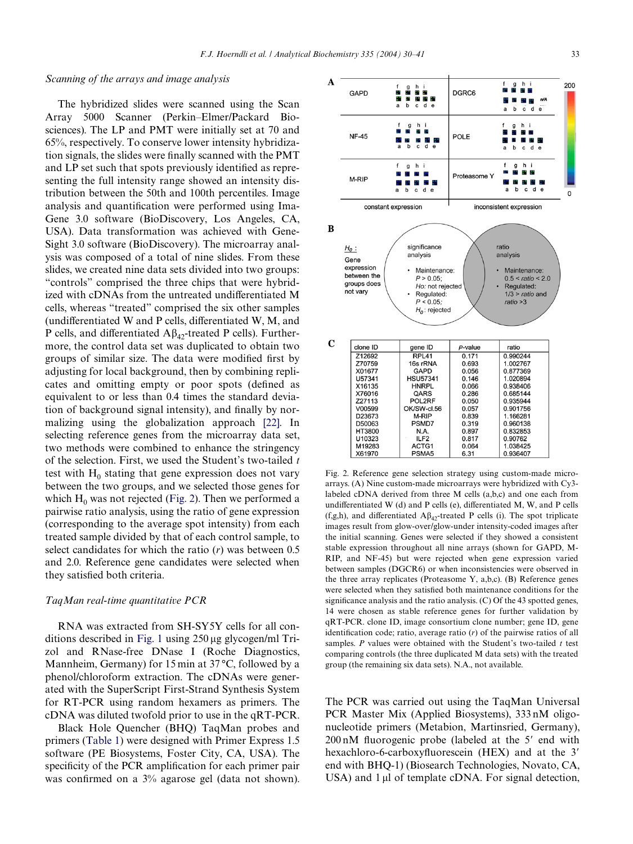### *Scanning of the arrays and image analysis*

The hybridized slides were scanned using the Scan Array 5000 Scanner (Perkin–Elmer/Packard Biosciences). The LP and PMT were initially set at 70 and 65%, respectively. To conserve lower intensity hybridization signals, the slides were finally scanned with the PMT and LP set such that spots previously identified as representing the full intensity range showed an intensity distribution between the 50th and 100th percentiles. Image analysis and quantification were performed using Ima-Gene 3.0 software (BioDiscovery, Los Angeles, CA, USA). Data transformation was achieved with Gene-Sight 3.0 software (BioDiscovery). The microarray analysis was composed of a total of nine slides. From these slides, we created nine data sets divided into two groups: "controls" comprised the three chips that were hybridized with cDNAs from the untreated undifferentiated M cells, whereas "treated" comprised the six other samples (undifferentiated W and P cells, differentiated W, M, and P cells, and differentiated  $A\beta_{4}$ -treated P cells). Furthermore, the control data set was duplicated to obtain two groups of similar size. The data were modified first by adjusting for local background, then by combining replicates and omitting empty or poor spots (defined as equivalent to or less than 0.4 times the standard deviation of background signal intensity), and finally by normalizing using the globalization approach [\[22\]](#page-10-15). In selecting reference genes from the microarray data set, two methods were combined to enhance the stringency of the selection. First, we used the Student's two-tailed *t* test with  $H_0$  stating that gene expression does not vary between the two groups, and we selected those genes for which  $H_0$  was not rejected [\(Fig. 2](#page-3-0)). Then we performed a pairwise ratio analysis, using the ratio of gene expression (corresponding to the average spot intensity) from each treated sample divided by that of each control sample, to select candidates for which the ratio (*r*) was between 0.5 and 2.0. Reference gene candidates were selected when they satisfied both criteria.

#### *TaqMan real-time quantitative PCR*

RNA was extracted from SH-SY5Y cells for all con-ditions described in [Fig. 1](#page-2-0) using  $250 \mu$ g glycogen/ml Trizol and RNase-free DNase I (Roche Diagnostics, Mannheim, Germany) for 15 min at 37 °C, followed by a phenol/chloroform extraction. The cDNAs were generated with the SuperScript First-Strand Synthesis System for RT-PCR using random hexamers as primers. The cDNA was diluted twofold prior to use in the qRT-PCR.

Black Hole Quencher (BHQ) TaqMan probes and primers ([Table 1\)](#page-4-0) were designed with Primer Express 1.5 software (PE Biosystems, Foster City, CA, USA). The specificity of the PCR amplification for each primer pair was confirmed on a  $3\%$  agarose gel (data not shown).



<span id="page-3-0"></span>Fig. 2. Reference gene selection strategy using custom-made microarrays. (A) Nine custom-made microarrays were hybridized with Cy3 labeled cDNA derived from three M cells (a,b,c) and one each from undifferentiated W (d) and P cells (e), differentiated M, W, and P cells (f,g,h), and differentiated  $A\beta_{42}$ -treated P cells (i). The spot triplicate images result from glow-over/glow-under intensity-coded images after the initial scanning. Genes were selected if they showed a consistent stable expression throughout all nine arrays (shown for GAPD, M-RIP, and NF-45) but were rejected when gene expression varied between samples (DGCR6) or when inconsistencies were observed in the three array replicates (Proteasome Y, a,b,c). (B) Reference genes were selected when they satisfied both maintenance conditions for the significance analysis and the ratio analysis.  $(C)$  Of the 43 spotted genes, 14 were chosen as stable reference genes for further validation by qRT-PCR. clone ID, image consortium clone number; gene ID, gene identification code; ratio, average ratio  $(r)$  of the pairwise ratios of all samples. *P* values were obtained with the Student's two-tailed *t* test comparing controls (the three duplicated M data sets) with the treated group (the remaining six data sets). N.A., not available.

The PCR was carried out using the TaqMan Universal PCR Master Mix (Applied Biosystems), 333 nM oligonucleotide primers (Metabion, Martinsried, Germany),  $200 \text{ nM}$  fluorogenic probe (labeled at the 5' end with hexachloro-6-carboxyfluorescein (HEX) and at the 3' end with BHQ-1) (Biosearch Technologies, Novato, CA, USA) and  $1 \mu l$  of template cDNA. For signal detection,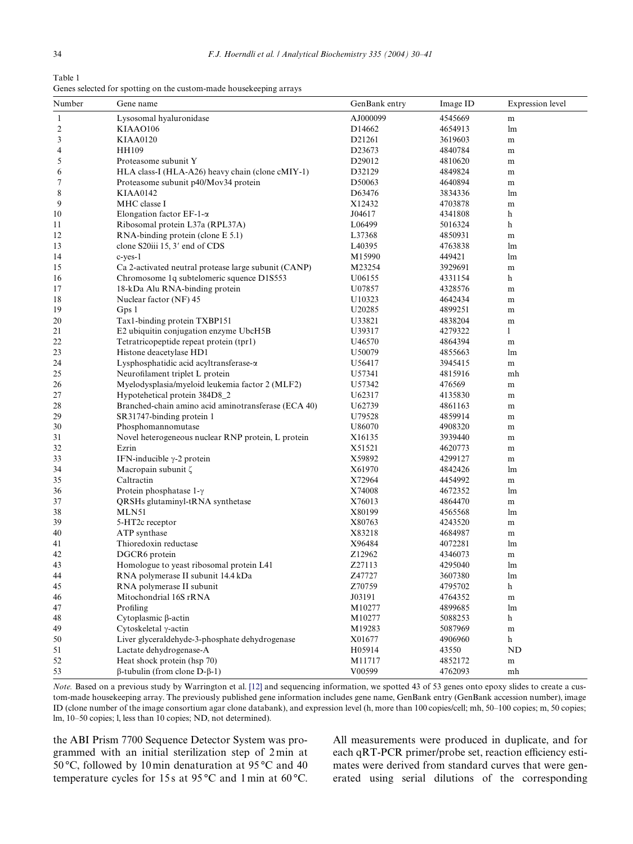<span id="page-4-0"></span>Table 1 Genes selected for spotting on the custom-made housekeeping arrays

| AJ000099<br>4545669<br>Lysosomal hyaluronidase<br>$\mathbf{1}$<br>m<br>$\overline{\mathbf{c}}$<br>KIAA0106<br>D14662<br>4654913<br>lm<br>3<br><b>KIAA0120</b><br>D21261<br>3619603<br>m<br>4<br><b>HH109</b><br>D <sub>2</sub> 3673<br>4840784<br>m<br>5<br>Proteasome subunit Y<br>D <sub>29012</sub><br>4810620<br>m<br>HLA class-I (HLA-A26) heavy chain (clone cMIY-1)<br>D32129<br>4849824<br>6<br>m<br>7<br>Proteasome subunit p40/Mov34 protein<br>D50063<br>4640894<br>m<br>8<br><b>KIAA0142</b><br>D63476<br>3834336<br>lm<br>9<br>MHC classe I<br>X12432<br>4703878<br>m<br>Elongation factor $EF-1-\alpha$<br>J04617<br>4341808<br>h<br>Ribosomal protein L37a (RPL37A)<br>L06499<br>5016324<br>h<br>RNA-binding protein (clone E 5.1)<br>L37368<br>4850931<br>m<br>clone S20iii 15, 3' end of CDS<br>L <sub>40</sub> 395<br>4763838<br>lm<br>c-yes-1<br>M15990<br>449421<br>lm<br>Ca 2-activated neutral protease large subunit (CANP)<br>M23254<br>3929691<br>m<br>Chromosome 1q subtelomeric squence D1S553<br>4331154<br>U06155<br>h<br>18-kDa Alu RNA-binding protein<br>4328576<br>U07857<br>m<br>Nuclear factor (NF) 45<br>U10323<br>4642434<br>m<br>Gps 1<br>4899251<br>U <sub>20285</sub><br>m<br>4838204<br>Tax1-binding protein TXBP151<br>U33821<br>m<br>E2 ubiquitin conjugation enzyme UbcH5B<br>U39317<br>4279322<br>1<br>Tetratricopeptide repeat protein (tpr1)<br>4864394<br>U46570<br>m<br>Histone deacetylase HD1<br>U50079<br>4855663<br>lm<br>Lysphosphatidic acid acyltransferase-a<br>U56417<br>3945415<br>m<br>Neurofilament triplet L protein<br>4815916<br>U57341<br>mh<br>Myelodysplasia/myeloid leukemia factor 2 (MLF2)<br>U57342<br>476569<br>m<br>Hypotehetical protein 384D8_2<br>U62317<br>4135830<br>m<br>Branched-chain amino acid aminotransferase (ECA 40)<br>U62739<br>4861163<br>m<br>SR31747-binding protein 1<br>4859914<br>U79528<br>m<br>Phosphomannomutase<br>U86070<br>4908320<br>m<br>Novel heterogeneous nuclear RNP protein, L protein<br>3939440<br>X16135<br>m<br>Ezrin<br>X51521<br>4620773<br>m<br>IFN-inducible $\gamma$ -2 protein<br>X59892<br>4299127<br>m<br>Macropain subunit ζ<br>X61970<br>4842426<br>lm<br>Caltractin<br>X72964<br>4454992<br>m<br>Protein phosphatase $1-\gamma$<br>X74008<br>4672352<br>lm<br>QRSHs glutaminyl-tRNA synthetase<br>X76013<br>4864470<br>m<br>MLN51<br>X80199<br>4565568<br>lm<br>X80763<br>5-HT2c receptor<br>4243520<br>m<br>ATP synthase<br>X83218<br>4684987<br>m<br>Thioredoxin reductase<br>X96484<br>4072281<br>lm<br>Z12962<br>DGCR6 protein<br>4346073<br>m<br>Homologue to yeast ribosomal protein L41<br>Z27113<br>4295040<br>lm<br>Z47727<br>3607380<br>RNA polymerase II subunit 14.4 kDa<br>lm<br>RNA polymerase II subunit<br>4795702<br>Z70759<br>h<br>Mitochondrial 16S rRNA<br>J03191<br>4764352<br>m<br>Profiling<br>M10277<br>4899685<br>lm<br>Cytoplasmic β-actin<br>M10277<br>5088253<br>h<br>Cytoskeletal γ-actin<br>M19283<br>5087969<br>${\rm m}$<br>Liver glyceraldehyde-3-phosphate dehydrogenase<br>4906960<br>X01677<br>h<br>Lactate dehydrogenase-A<br>H05914<br>43550<br>ND<br>Heat shock protein (hsp 70)<br>M11717<br>4852172<br>m<br>$\beta$ -tubulin (from clone D- $\beta$ -1)<br>V00599<br>4762093<br>mh | Number | Gene name | GenBank entry | Image ID | Expression level |
|--------------------------------------------------------------------------------------------------------------------------------------------------------------------------------------------------------------------------------------------------------------------------------------------------------------------------------------------------------------------------------------------------------------------------------------------------------------------------------------------------------------------------------------------------------------------------------------------------------------------------------------------------------------------------------------------------------------------------------------------------------------------------------------------------------------------------------------------------------------------------------------------------------------------------------------------------------------------------------------------------------------------------------------------------------------------------------------------------------------------------------------------------------------------------------------------------------------------------------------------------------------------------------------------------------------------------------------------------------------------------------------------------------------------------------------------------------------------------------------------------------------------------------------------------------------------------------------------------------------------------------------------------------------------------------------------------------------------------------------------------------------------------------------------------------------------------------------------------------------------------------------------------------------------------------------------------------------------------------------------------------------------------------------------------------------------------------------------------------------------------------------------------------------------------------------------------------------------------------------------------------------------------------------------------------------------------------------------------------------------------------------------------------------------------------------------------------------------------------------------------------------------------------------------------------------------------------------------------------------------------------------------------------------------------------------------------------------------------------------------------------------------------------------------------------------------------------------------------------------------------------------------------------------------------------------------------------------------------------------------------------------------------------------------------------------------------------------------------------------------------------------------------------------------------------------------------------------------------------------------------------|--------|-----------|---------------|----------|------------------|
|                                                                                                                                                                                                                                                                                                                                                                                                                                                                                                                                                                                                                                                                                                                                                                                                                                                                                                                                                                                                                                                                                                                                                                                                                                                                                                                                                                                                                                                                                                                                                                                                                                                                                                                                                                                                                                                                                                                                                                                                                                                                                                                                                                                                                                                                                                                                                                                                                                                                                                                                                                                                                                                                                                                                                                                                                                                                                                                                                                                                                                                                                                                                                                                                                                                        |        |           |               |          |                  |
|                                                                                                                                                                                                                                                                                                                                                                                                                                                                                                                                                                                                                                                                                                                                                                                                                                                                                                                                                                                                                                                                                                                                                                                                                                                                                                                                                                                                                                                                                                                                                                                                                                                                                                                                                                                                                                                                                                                                                                                                                                                                                                                                                                                                                                                                                                                                                                                                                                                                                                                                                                                                                                                                                                                                                                                                                                                                                                                                                                                                                                                                                                                                                                                                                                                        |        |           |               |          |                  |
|                                                                                                                                                                                                                                                                                                                                                                                                                                                                                                                                                                                                                                                                                                                                                                                                                                                                                                                                                                                                                                                                                                                                                                                                                                                                                                                                                                                                                                                                                                                                                                                                                                                                                                                                                                                                                                                                                                                                                                                                                                                                                                                                                                                                                                                                                                                                                                                                                                                                                                                                                                                                                                                                                                                                                                                                                                                                                                                                                                                                                                                                                                                                                                                                                                                        |        |           |               |          |                  |
|                                                                                                                                                                                                                                                                                                                                                                                                                                                                                                                                                                                                                                                                                                                                                                                                                                                                                                                                                                                                                                                                                                                                                                                                                                                                                                                                                                                                                                                                                                                                                                                                                                                                                                                                                                                                                                                                                                                                                                                                                                                                                                                                                                                                                                                                                                                                                                                                                                                                                                                                                                                                                                                                                                                                                                                                                                                                                                                                                                                                                                                                                                                                                                                                                                                        |        |           |               |          |                  |
|                                                                                                                                                                                                                                                                                                                                                                                                                                                                                                                                                                                                                                                                                                                                                                                                                                                                                                                                                                                                                                                                                                                                                                                                                                                                                                                                                                                                                                                                                                                                                                                                                                                                                                                                                                                                                                                                                                                                                                                                                                                                                                                                                                                                                                                                                                                                                                                                                                                                                                                                                                                                                                                                                                                                                                                                                                                                                                                                                                                                                                                                                                                                                                                                                                                        |        |           |               |          |                  |
|                                                                                                                                                                                                                                                                                                                                                                                                                                                                                                                                                                                                                                                                                                                                                                                                                                                                                                                                                                                                                                                                                                                                                                                                                                                                                                                                                                                                                                                                                                                                                                                                                                                                                                                                                                                                                                                                                                                                                                                                                                                                                                                                                                                                                                                                                                                                                                                                                                                                                                                                                                                                                                                                                                                                                                                                                                                                                                                                                                                                                                                                                                                                                                                                                                                        |        |           |               |          |                  |
|                                                                                                                                                                                                                                                                                                                                                                                                                                                                                                                                                                                                                                                                                                                                                                                                                                                                                                                                                                                                                                                                                                                                                                                                                                                                                                                                                                                                                                                                                                                                                                                                                                                                                                                                                                                                                                                                                                                                                                                                                                                                                                                                                                                                                                                                                                                                                                                                                                                                                                                                                                                                                                                                                                                                                                                                                                                                                                                                                                                                                                                                                                                                                                                                                                                        |        |           |               |          |                  |
|                                                                                                                                                                                                                                                                                                                                                                                                                                                                                                                                                                                                                                                                                                                                                                                                                                                                                                                                                                                                                                                                                                                                                                                                                                                                                                                                                                                                                                                                                                                                                                                                                                                                                                                                                                                                                                                                                                                                                                                                                                                                                                                                                                                                                                                                                                                                                                                                                                                                                                                                                                                                                                                                                                                                                                                                                                                                                                                                                                                                                                                                                                                                                                                                                                                        |        |           |               |          |                  |
|                                                                                                                                                                                                                                                                                                                                                                                                                                                                                                                                                                                                                                                                                                                                                                                                                                                                                                                                                                                                                                                                                                                                                                                                                                                                                                                                                                                                                                                                                                                                                                                                                                                                                                                                                                                                                                                                                                                                                                                                                                                                                                                                                                                                                                                                                                                                                                                                                                                                                                                                                                                                                                                                                                                                                                                                                                                                                                                                                                                                                                                                                                                                                                                                                                                        |        |           |               |          |                  |
|                                                                                                                                                                                                                                                                                                                                                                                                                                                                                                                                                                                                                                                                                                                                                                                                                                                                                                                                                                                                                                                                                                                                                                                                                                                                                                                                                                                                                                                                                                                                                                                                                                                                                                                                                                                                                                                                                                                                                                                                                                                                                                                                                                                                                                                                                                                                                                                                                                                                                                                                                                                                                                                                                                                                                                                                                                                                                                                                                                                                                                                                                                                                                                                                                                                        | 10     |           |               |          |                  |
|                                                                                                                                                                                                                                                                                                                                                                                                                                                                                                                                                                                                                                                                                                                                                                                                                                                                                                                                                                                                                                                                                                                                                                                                                                                                                                                                                                                                                                                                                                                                                                                                                                                                                                                                                                                                                                                                                                                                                                                                                                                                                                                                                                                                                                                                                                                                                                                                                                                                                                                                                                                                                                                                                                                                                                                                                                                                                                                                                                                                                                                                                                                                                                                                                                                        | 11     |           |               |          |                  |
|                                                                                                                                                                                                                                                                                                                                                                                                                                                                                                                                                                                                                                                                                                                                                                                                                                                                                                                                                                                                                                                                                                                                                                                                                                                                                                                                                                                                                                                                                                                                                                                                                                                                                                                                                                                                                                                                                                                                                                                                                                                                                                                                                                                                                                                                                                                                                                                                                                                                                                                                                                                                                                                                                                                                                                                                                                                                                                                                                                                                                                                                                                                                                                                                                                                        | 12     |           |               |          |                  |
|                                                                                                                                                                                                                                                                                                                                                                                                                                                                                                                                                                                                                                                                                                                                                                                                                                                                                                                                                                                                                                                                                                                                                                                                                                                                                                                                                                                                                                                                                                                                                                                                                                                                                                                                                                                                                                                                                                                                                                                                                                                                                                                                                                                                                                                                                                                                                                                                                                                                                                                                                                                                                                                                                                                                                                                                                                                                                                                                                                                                                                                                                                                                                                                                                                                        | 13     |           |               |          |                  |
|                                                                                                                                                                                                                                                                                                                                                                                                                                                                                                                                                                                                                                                                                                                                                                                                                                                                                                                                                                                                                                                                                                                                                                                                                                                                                                                                                                                                                                                                                                                                                                                                                                                                                                                                                                                                                                                                                                                                                                                                                                                                                                                                                                                                                                                                                                                                                                                                                                                                                                                                                                                                                                                                                                                                                                                                                                                                                                                                                                                                                                                                                                                                                                                                                                                        | 14     |           |               |          |                  |
|                                                                                                                                                                                                                                                                                                                                                                                                                                                                                                                                                                                                                                                                                                                                                                                                                                                                                                                                                                                                                                                                                                                                                                                                                                                                                                                                                                                                                                                                                                                                                                                                                                                                                                                                                                                                                                                                                                                                                                                                                                                                                                                                                                                                                                                                                                                                                                                                                                                                                                                                                                                                                                                                                                                                                                                                                                                                                                                                                                                                                                                                                                                                                                                                                                                        | 15     |           |               |          |                  |
|                                                                                                                                                                                                                                                                                                                                                                                                                                                                                                                                                                                                                                                                                                                                                                                                                                                                                                                                                                                                                                                                                                                                                                                                                                                                                                                                                                                                                                                                                                                                                                                                                                                                                                                                                                                                                                                                                                                                                                                                                                                                                                                                                                                                                                                                                                                                                                                                                                                                                                                                                                                                                                                                                                                                                                                                                                                                                                                                                                                                                                                                                                                                                                                                                                                        | 16     |           |               |          |                  |
|                                                                                                                                                                                                                                                                                                                                                                                                                                                                                                                                                                                                                                                                                                                                                                                                                                                                                                                                                                                                                                                                                                                                                                                                                                                                                                                                                                                                                                                                                                                                                                                                                                                                                                                                                                                                                                                                                                                                                                                                                                                                                                                                                                                                                                                                                                                                                                                                                                                                                                                                                                                                                                                                                                                                                                                                                                                                                                                                                                                                                                                                                                                                                                                                                                                        | 17     |           |               |          |                  |
|                                                                                                                                                                                                                                                                                                                                                                                                                                                                                                                                                                                                                                                                                                                                                                                                                                                                                                                                                                                                                                                                                                                                                                                                                                                                                                                                                                                                                                                                                                                                                                                                                                                                                                                                                                                                                                                                                                                                                                                                                                                                                                                                                                                                                                                                                                                                                                                                                                                                                                                                                                                                                                                                                                                                                                                                                                                                                                                                                                                                                                                                                                                                                                                                                                                        | 18     |           |               |          |                  |
|                                                                                                                                                                                                                                                                                                                                                                                                                                                                                                                                                                                                                                                                                                                                                                                                                                                                                                                                                                                                                                                                                                                                                                                                                                                                                                                                                                                                                                                                                                                                                                                                                                                                                                                                                                                                                                                                                                                                                                                                                                                                                                                                                                                                                                                                                                                                                                                                                                                                                                                                                                                                                                                                                                                                                                                                                                                                                                                                                                                                                                                                                                                                                                                                                                                        | 19     |           |               |          |                  |
|                                                                                                                                                                                                                                                                                                                                                                                                                                                                                                                                                                                                                                                                                                                                                                                                                                                                                                                                                                                                                                                                                                                                                                                                                                                                                                                                                                                                                                                                                                                                                                                                                                                                                                                                                                                                                                                                                                                                                                                                                                                                                                                                                                                                                                                                                                                                                                                                                                                                                                                                                                                                                                                                                                                                                                                                                                                                                                                                                                                                                                                                                                                                                                                                                                                        | 20     |           |               |          |                  |
|                                                                                                                                                                                                                                                                                                                                                                                                                                                                                                                                                                                                                                                                                                                                                                                                                                                                                                                                                                                                                                                                                                                                                                                                                                                                                                                                                                                                                                                                                                                                                                                                                                                                                                                                                                                                                                                                                                                                                                                                                                                                                                                                                                                                                                                                                                                                                                                                                                                                                                                                                                                                                                                                                                                                                                                                                                                                                                                                                                                                                                                                                                                                                                                                                                                        | 21     |           |               |          |                  |
|                                                                                                                                                                                                                                                                                                                                                                                                                                                                                                                                                                                                                                                                                                                                                                                                                                                                                                                                                                                                                                                                                                                                                                                                                                                                                                                                                                                                                                                                                                                                                                                                                                                                                                                                                                                                                                                                                                                                                                                                                                                                                                                                                                                                                                                                                                                                                                                                                                                                                                                                                                                                                                                                                                                                                                                                                                                                                                                                                                                                                                                                                                                                                                                                                                                        | 22     |           |               |          |                  |
|                                                                                                                                                                                                                                                                                                                                                                                                                                                                                                                                                                                                                                                                                                                                                                                                                                                                                                                                                                                                                                                                                                                                                                                                                                                                                                                                                                                                                                                                                                                                                                                                                                                                                                                                                                                                                                                                                                                                                                                                                                                                                                                                                                                                                                                                                                                                                                                                                                                                                                                                                                                                                                                                                                                                                                                                                                                                                                                                                                                                                                                                                                                                                                                                                                                        | 23     |           |               |          |                  |
|                                                                                                                                                                                                                                                                                                                                                                                                                                                                                                                                                                                                                                                                                                                                                                                                                                                                                                                                                                                                                                                                                                                                                                                                                                                                                                                                                                                                                                                                                                                                                                                                                                                                                                                                                                                                                                                                                                                                                                                                                                                                                                                                                                                                                                                                                                                                                                                                                                                                                                                                                                                                                                                                                                                                                                                                                                                                                                                                                                                                                                                                                                                                                                                                                                                        | 24     |           |               |          |                  |
|                                                                                                                                                                                                                                                                                                                                                                                                                                                                                                                                                                                                                                                                                                                                                                                                                                                                                                                                                                                                                                                                                                                                                                                                                                                                                                                                                                                                                                                                                                                                                                                                                                                                                                                                                                                                                                                                                                                                                                                                                                                                                                                                                                                                                                                                                                                                                                                                                                                                                                                                                                                                                                                                                                                                                                                                                                                                                                                                                                                                                                                                                                                                                                                                                                                        | 25     |           |               |          |                  |
|                                                                                                                                                                                                                                                                                                                                                                                                                                                                                                                                                                                                                                                                                                                                                                                                                                                                                                                                                                                                                                                                                                                                                                                                                                                                                                                                                                                                                                                                                                                                                                                                                                                                                                                                                                                                                                                                                                                                                                                                                                                                                                                                                                                                                                                                                                                                                                                                                                                                                                                                                                                                                                                                                                                                                                                                                                                                                                                                                                                                                                                                                                                                                                                                                                                        | 26     |           |               |          |                  |
|                                                                                                                                                                                                                                                                                                                                                                                                                                                                                                                                                                                                                                                                                                                                                                                                                                                                                                                                                                                                                                                                                                                                                                                                                                                                                                                                                                                                                                                                                                                                                                                                                                                                                                                                                                                                                                                                                                                                                                                                                                                                                                                                                                                                                                                                                                                                                                                                                                                                                                                                                                                                                                                                                                                                                                                                                                                                                                                                                                                                                                                                                                                                                                                                                                                        | 27     |           |               |          |                  |
|                                                                                                                                                                                                                                                                                                                                                                                                                                                                                                                                                                                                                                                                                                                                                                                                                                                                                                                                                                                                                                                                                                                                                                                                                                                                                                                                                                                                                                                                                                                                                                                                                                                                                                                                                                                                                                                                                                                                                                                                                                                                                                                                                                                                                                                                                                                                                                                                                                                                                                                                                                                                                                                                                                                                                                                                                                                                                                                                                                                                                                                                                                                                                                                                                                                        | 28     |           |               |          |                  |
|                                                                                                                                                                                                                                                                                                                                                                                                                                                                                                                                                                                                                                                                                                                                                                                                                                                                                                                                                                                                                                                                                                                                                                                                                                                                                                                                                                                                                                                                                                                                                                                                                                                                                                                                                                                                                                                                                                                                                                                                                                                                                                                                                                                                                                                                                                                                                                                                                                                                                                                                                                                                                                                                                                                                                                                                                                                                                                                                                                                                                                                                                                                                                                                                                                                        | 29     |           |               |          |                  |
|                                                                                                                                                                                                                                                                                                                                                                                                                                                                                                                                                                                                                                                                                                                                                                                                                                                                                                                                                                                                                                                                                                                                                                                                                                                                                                                                                                                                                                                                                                                                                                                                                                                                                                                                                                                                                                                                                                                                                                                                                                                                                                                                                                                                                                                                                                                                                                                                                                                                                                                                                                                                                                                                                                                                                                                                                                                                                                                                                                                                                                                                                                                                                                                                                                                        | 30     |           |               |          |                  |
|                                                                                                                                                                                                                                                                                                                                                                                                                                                                                                                                                                                                                                                                                                                                                                                                                                                                                                                                                                                                                                                                                                                                                                                                                                                                                                                                                                                                                                                                                                                                                                                                                                                                                                                                                                                                                                                                                                                                                                                                                                                                                                                                                                                                                                                                                                                                                                                                                                                                                                                                                                                                                                                                                                                                                                                                                                                                                                                                                                                                                                                                                                                                                                                                                                                        | 31     |           |               |          |                  |
|                                                                                                                                                                                                                                                                                                                                                                                                                                                                                                                                                                                                                                                                                                                                                                                                                                                                                                                                                                                                                                                                                                                                                                                                                                                                                                                                                                                                                                                                                                                                                                                                                                                                                                                                                                                                                                                                                                                                                                                                                                                                                                                                                                                                                                                                                                                                                                                                                                                                                                                                                                                                                                                                                                                                                                                                                                                                                                                                                                                                                                                                                                                                                                                                                                                        | 32     |           |               |          |                  |
|                                                                                                                                                                                                                                                                                                                                                                                                                                                                                                                                                                                                                                                                                                                                                                                                                                                                                                                                                                                                                                                                                                                                                                                                                                                                                                                                                                                                                                                                                                                                                                                                                                                                                                                                                                                                                                                                                                                                                                                                                                                                                                                                                                                                                                                                                                                                                                                                                                                                                                                                                                                                                                                                                                                                                                                                                                                                                                                                                                                                                                                                                                                                                                                                                                                        | 33     |           |               |          |                  |
|                                                                                                                                                                                                                                                                                                                                                                                                                                                                                                                                                                                                                                                                                                                                                                                                                                                                                                                                                                                                                                                                                                                                                                                                                                                                                                                                                                                                                                                                                                                                                                                                                                                                                                                                                                                                                                                                                                                                                                                                                                                                                                                                                                                                                                                                                                                                                                                                                                                                                                                                                                                                                                                                                                                                                                                                                                                                                                                                                                                                                                                                                                                                                                                                                                                        | 34     |           |               |          |                  |
|                                                                                                                                                                                                                                                                                                                                                                                                                                                                                                                                                                                                                                                                                                                                                                                                                                                                                                                                                                                                                                                                                                                                                                                                                                                                                                                                                                                                                                                                                                                                                                                                                                                                                                                                                                                                                                                                                                                                                                                                                                                                                                                                                                                                                                                                                                                                                                                                                                                                                                                                                                                                                                                                                                                                                                                                                                                                                                                                                                                                                                                                                                                                                                                                                                                        | 35     |           |               |          |                  |
|                                                                                                                                                                                                                                                                                                                                                                                                                                                                                                                                                                                                                                                                                                                                                                                                                                                                                                                                                                                                                                                                                                                                                                                                                                                                                                                                                                                                                                                                                                                                                                                                                                                                                                                                                                                                                                                                                                                                                                                                                                                                                                                                                                                                                                                                                                                                                                                                                                                                                                                                                                                                                                                                                                                                                                                                                                                                                                                                                                                                                                                                                                                                                                                                                                                        | 36     |           |               |          |                  |
|                                                                                                                                                                                                                                                                                                                                                                                                                                                                                                                                                                                                                                                                                                                                                                                                                                                                                                                                                                                                                                                                                                                                                                                                                                                                                                                                                                                                                                                                                                                                                                                                                                                                                                                                                                                                                                                                                                                                                                                                                                                                                                                                                                                                                                                                                                                                                                                                                                                                                                                                                                                                                                                                                                                                                                                                                                                                                                                                                                                                                                                                                                                                                                                                                                                        | 37     |           |               |          |                  |
|                                                                                                                                                                                                                                                                                                                                                                                                                                                                                                                                                                                                                                                                                                                                                                                                                                                                                                                                                                                                                                                                                                                                                                                                                                                                                                                                                                                                                                                                                                                                                                                                                                                                                                                                                                                                                                                                                                                                                                                                                                                                                                                                                                                                                                                                                                                                                                                                                                                                                                                                                                                                                                                                                                                                                                                                                                                                                                                                                                                                                                                                                                                                                                                                                                                        | 38     |           |               |          |                  |
|                                                                                                                                                                                                                                                                                                                                                                                                                                                                                                                                                                                                                                                                                                                                                                                                                                                                                                                                                                                                                                                                                                                                                                                                                                                                                                                                                                                                                                                                                                                                                                                                                                                                                                                                                                                                                                                                                                                                                                                                                                                                                                                                                                                                                                                                                                                                                                                                                                                                                                                                                                                                                                                                                                                                                                                                                                                                                                                                                                                                                                                                                                                                                                                                                                                        | 39     |           |               |          |                  |
|                                                                                                                                                                                                                                                                                                                                                                                                                                                                                                                                                                                                                                                                                                                                                                                                                                                                                                                                                                                                                                                                                                                                                                                                                                                                                                                                                                                                                                                                                                                                                                                                                                                                                                                                                                                                                                                                                                                                                                                                                                                                                                                                                                                                                                                                                                                                                                                                                                                                                                                                                                                                                                                                                                                                                                                                                                                                                                                                                                                                                                                                                                                                                                                                                                                        | 40     |           |               |          |                  |
|                                                                                                                                                                                                                                                                                                                                                                                                                                                                                                                                                                                                                                                                                                                                                                                                                                                                                                                                                                                                                                                                                                                                                                                                                                                                                                                                                                                                                                                                                                                                                                                                                                                                                                                                                                                                                                                                                                                                                                                                                                                                                                                                                                                                                                                                                                                                                                                                                                                                                                                                                                                                                                                                                                                                                                                                                                                                                                                                                                                                                                                                                                                                                                                                                                                        | 41     |           |               |          |                  |
|                                                                                                                                                                                                                                                                                                                                                                                                                                                                                                                                                                                                                                                                                                                                                                                                                                                                                                                                                                                                                                                                                                                                                                                                                                                                                                                                                                                                                                                                                                                                                                                                                                                                                                                                                                                                                                                                                                                                                                                                                                                                                                                                                                                                                                                                                                                                                                                                                                                                                                                                                                                                                                                                                                                                                                                                                                                                                                                                                                                                                                                                                                                                                                                                                                                        | 42     |           |               |          |                  |
|                                                                                                                                                                                                                                                                                                                                                                                                                                                                                                                                                                                                                                                                                                                                                                                                                                                                                                                                                                                                                                                                                                                                                                                                                                                                                                                                                                                                                                                                                                                                                                                                                                                                                                                                                                                                                                                                                                                                                                                                                                                                                                                                                                                                                                                                                                                                                                                                                                                                                                                                                                                                                                                                                                                                                                                                                                                                                                                                                                                                                                                                                                                                                                                                                                                        | 43     |           |               |          |                  |
|                                                                                                                                                                                                                                                                                                                                                                                                                                                                                                                                                                                                                                                                                                                                                                                                                                                                                                                                                                                                                                                                                                                                                                                                                                                                                                                                                                                                                                                                                                                                                                                                                                                                                                                                                                                                                                                                                                                                                                                                                                                                                                                                                                                                                                                                                                                                                                                                                                                                                                                                                                                                                                                                                                                                                                                                                                                                                                                                                                                                                                                                                                                                                                                                                                                        | 44     |           |               |          |                  |
|                                                                                                                                                                                                                                                                                                                                                                                                                                                                                                                                                                                                                                                                                                                                                                                                                                                                                                                                                                                                                                                                                                                                                                                                                                                                                                                                                                                                                                                                                                                                                                                                                                                                                                                                                                                                                                                                                                                                                                                                                                                                                                                                                                                                                                                                                                                                                                                                                                                                                                                                                                                                                                                                                                                                                                                                                                                                                                                                                                                                                                                                                                                                                                                                                                                        | 45     |           |               |          |                  |
|                                                                                                                                                                                                                                                                                                                                                                                                                                                                                                                                                                                                                                                                                                                                                                                                                                                                                                                                                                                                                                                                                                                                                                                                                                                                                                                                                                                                                                                                                                                                                                                                                                                                                                                                                                                                                                                                                                                                                                                                                                                                                                                                                                                                                                                                                                                                                                                                                                                                                                                                                                                                                                                                                                                                                                                                                                                                                                                                                                                                                                                                                                                                                                                                                                                        | 46     |           |               |          |                  |
|                                                                                                                                                                                                                                                                                                                                                                                                                                                                                                                                                                                                                                                                                                                                                                                                                                                                                                                                                                                                                                                                                                                                                                                                                                                                                                                                                                                                                                                                                                                                                                                                                                                                                                                                                                                                                                                                                                                                                                                                                                                                                                                                                                                                                                                                                                                                                                                                                                                                                                                                                                                                                                                                                                                                                                                                                                                                                                                                                                                                                                                                                                                                                                                                                                                        | 47     |           |               |          |                  |
|                                                                                                                                                                                                                                                                                                                                                                                                                                                                                                                                                                                                                                                                                                                                                                                                                                                                                                                                                                                                                                                                                                                                                                                                                                                                                                                                                                                                                                                                                                                                                                                                                                                                                                                                                                                                                                                                                                                                                                                                                                                                                                                                                                                                                                                                                                                                                                                                                                                                                                                                                                                                                                                                                                                                                                                                                                                                                                                                                                                                                                                                                                                                                                                                                                                        | 48     |           |               |          |                  |
|                                                                                                                                                                                                                                                                                                                                                                                                                                                                                                                                                                                                                                                                                                                                                                                                                                                                                                                                                                                                                                                                                                                                                                                                                                                                                                                                                                                                                                                                                                                                                                                                                                                                                                                                                                                                                                                                                                                                                                                                                                                                                                                                                                                                                                                                                                                                                                                                                                                                                                                                                                                                                                                                                                                                                                                                                                                                                                                                                                                                                                                                                                                                                                                                                                                        | 49     |           |               |          |                  |
|                                                                                                                                                                                                                                                                                                                                                                                                                                                                                                                                                                                                                                                                                                                                                                                                                                                                                                                                                                                                                                                                                                                                                                                                                                                                                                                                                                                                                                                                                                                                                                                                                                                                                                                                                                                                                                                                                                                                                                                                                                                                                                                                                                                                                                                                                                                                                                                                                                                                                                                                                                                                                                                                                                                                                                                                                                                                                                                                                                                                                                                                                                                                                                                                                                                        | 50     |           |               |          |                  |
|                                                                                                                                                                                                                                                                                                                                                                                                                                                                                                                                                                                                                                                                                                                                                                                                                                                                                                                                                                                                                                                                                                                                                                                                                                                                                                                                                                                                                                                                                                                                                                                                                                                                                                                                                                                                                                                                                                                                                                                                                                                                                                                                                                                                                                                                                                                                                                                                                                                                                                                                                                                                                                                                                                                                                                                                                                                                                                                                                                                                                                                                                                                                                                                                                                                        | 51     |           |               |          |                  |
|                                                                                                                                                                                                                                                                                                                                                                                                                                                                                                                                                                                                                                                                                                                                                                                                                                                                                                                                                                                                                                                                                                                                                                                                                                                                                                                                                                                                                                                                                                                                                                                                                                                                                                                                                                                                                                                                                                                                                                                                                                                                                                                                                                                                                                                                                                                                                                                                                                                                                                                                                                                                                                                                                                                                                                                                                                                                                                                                                                                                                                                                                                                                                                                                                                                        | 52     |           |               |          |                  |
|                                                                                                                                                                                                                                                                                                                                                                                                                                                                                                                                                                                                                                                                                                                                                                                                                                                                                                                                                                                                                                                                                                                                                                                                                                                                                                                                                                                                                                                                                                                                                                                                                                                                                                                                                                                                                                                                                                                                                                                                                                                                                                                                                                                                                                                                                                                                                                                                                                                                                                                                                                                                                                                                                                                                                                                                                                                                                                                                                                                                                                                                                                                                                                                                                                                        | 53     |           |               |          |                  |

*Note.* Based on a previous study by Warrington et al. [\[12\]](#page-10-6) and sequencing information, we spotted 43 of 53 genes onto epoxy slides to create a custom-made housekeeping array. The previously published gene information includes gene name, GenBank entry (GenBank accession number), image ID (clone number of the image consortium agar clone databank), and expression level (h, more than 100 copies/cell; mh, 50–100 copies; m, 50 copies; lm, 10–50 copies; l, less than 10 copies; ND, not determined).

the ABI Prism 7700 Sequence Detector System was programmed with an initial sterilization step of 2 min at 50 °C, followed by 10 min denaturation at 95 °C and 40 temperature cycles for 15s at 95 °C and 1 min at 60 °C. All measurements were produced in duplicate, and for each qRT-PCR primer/probe set, reaction efficiency estimates were derived from standard curves that were generated using serial dilutions of the corresponding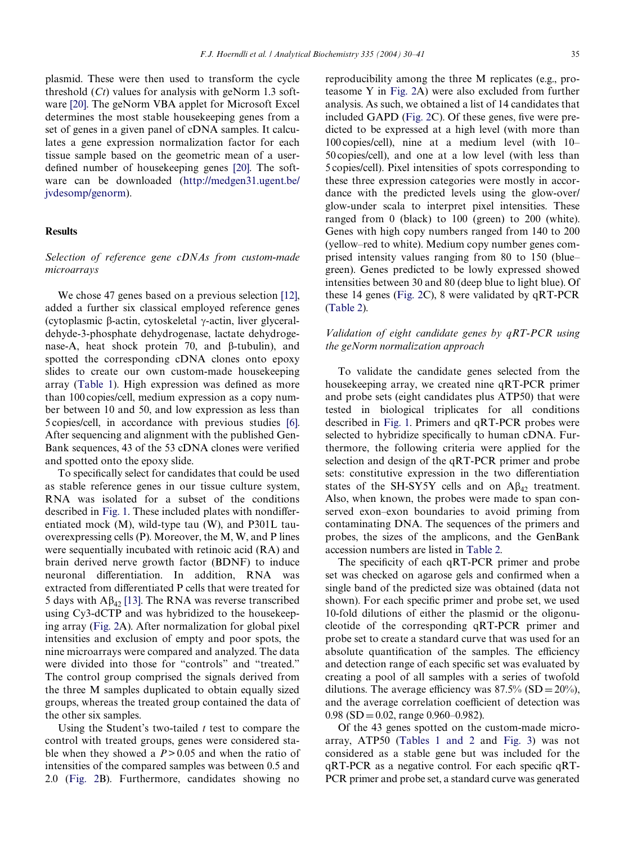plasmid. These were then used to transform the cycle threshold (*Ct*) values for analysis with geNorm 1.3 software [\[20\]](#page-10-13). The geNorm VBA applet for Microsoft Excel determines the most stable housekeeping genes from a set of genes in a given panel of cDNA samples. It calculates a gene expression normalization factor for each tissue sample based on the geometric mean of a user-defined number of housekeeping genes [\[20\].](#page-10-13) The software can be downloaded [\(http://medgen31.ugent.be/](http://medgen31.ugent.be/jvdesomp/genorm) [jvdesomp/genorm\)](http://medgen31.ugent.be/jvdesomp/genorm).

# **Results**

# *Selection of reference gene cDNAs from custom-made microarrays*

We chose 47 genes based on a previous selection [\[12\],](#page-10-6) added a further six classical employed reference genes (cytoplasmic β-actin, cytoskeletal γ-actin, liver glyceraldehyde-3-phosphate dehydrogenase, lactate dehydrogenase-A, heat shock protein 70, and  $\beta$ -tubulin), and spotted the corresponding cDNA clones onto epoxy slides to create our own custom-made housekeeping array ([Table 1\)](#page-4-0). High expression was defined as more than 100 copies/cell, medium expression as a copy number between 10 and 50, and low expression as less than 5 copies/cell, in accordance with previous studies [\[6\].](#page-10-9) After sequencing and alignment with the published Gen-Bank sequences, 43 of the 53 cDNA clones were verified and spotted onto the epoxy slide.

To specifically select for candidates that could be used as stable reference genes in our tissue culture system, RNA was isolated for a subset of the conditions described in [Fig. 1](#page-2-0). These included plates with nondifferentiated mock (M), wild-type tau (W), and P301L tauoverexpressing cells (P). Moreover, the M, W, and P lines were sequentially incubated with retinoic acid (RA) and brain derived nerve growth factor (BDNF) to induce neuronal differentiation. In addition, RNA was extracted from differentiated P cells that were treated for 5 days with  $A\beta_{42}$  [\[13\]](#page-10-7). The RNA was reverse transcribed using Cy3-dCTP and was hybridized to the housekeeping array ([Fig. 2](#page-3-0)A). After normalization for global pixel intensities and exclusion of empty and poor spots, the nine microarrays were compared and analyzed. The data were divided into those for "controls" and "treated." The control group comprised the signals derived from the three M samples duplicated to obtain equally sized groups, whereas the treated group contained the data of the other six samples.

Using the Student's two-tailed *t* test to compare the control with treated groups, genes were considered stable when they showed a *P*> 0.05 and when the ratio of intensities of the compared samples was between 0.5 and 2.0 ([Fig. 2](#page-3-0)B). Furthermore, candidates showing no

reproducibility among the three M replicates (e.g., proteasome Y in [Fig. 2A](#page-3-0)) were also excluded from further analysis. As such, we obtained a list of 14 candidates that included GAPD [\(Fig. 2C](#page-3-0)). Of these genes, five were predicted to be expressed at a high level (with more than 100 copies/cell), nine at a medium level (with 10– 50 copies/cell), and one at a low level (with less than 5 copies/cell). Pixel intensities of spots corresponding to these three expression categories were mostly in accordance with the predicted levels using the glow-over/ glow-under scala to interpret pixel intensities. These ranged from 0 (black) to 100 (green) to 200 (white). Genes with high copy numbers ranged from 140 to 200 (yellow–red to white). Medium copy number genes comprised intensity values ranging from 80 to 150 (blue– green). Genes predicted to be lowly expressed showed intensities between 30 and 80 (deep blue to light blue). Of these 14 genes [\(Fig. 2](#page-3-0)C), 8 were validated by qRT-PCR [\(Table 2](#page-6-0)).

# *Validation of eight candidate genes by qRT-PCR using the geNorm normalization approach*

To validate the candidate genes selected from the housekeeping array, we created nine qRT-PCR primer and probe sets (eight candidates plus ATP50) that were tested in biological triplicates for all conditions described in [Fig. 1](#page-2-0). Primers and qRT-PCR probes were selected to hybridize specifically to human cDNA. Furthermore, the following criteria were applied for the selection and design of the qRT-PCR primer and probe sets: constitutive expression in the two differentiation states of the SH-SY5Y cells and on  $A\beta_{42}$  treatment. Also, when known, the probes were made to span conserved exon–exon boundaries to avoid priming from contaminating DNA. The sequences of the primers and probes, the sizes of the amplicons, and the GenBank accession numbers are listed in [Table 2.](#page-6-0)

The specificity of each qRT-PCR primer and probe set was checked on agarose gels and confirmed when a single band of the predicted size was obtained (data not shown). For each specific primer and probe set, we used 10-fold dilutions of either the plasmid or the oligonucleotide of the corresponding qRT-PCR primer and probe set to create a standard curve that was used for an absolute quantification of the samples. The efficiency and detection range of each specific set was evaluated by creating a pool of all samples with a series of twofold dilutions. The average efficiency was  $87.5\%$  (SD =  $20\%$ ), and the average correlation coefficient of detection was  $0.98$  (SD = 0.02, range 0.960–0.982).

Of the 43 genes spotted on the custom-made microarray, ATP50 ([Tables 1 and 2](#page-4-0) and [Fig. 3\)](#page-7-0) was not considered as a stable gene but was included for the  $qRT-PCR$  as a negative control. For each specific  $qRT-$ PCR primer and probe set, a standard curve was generated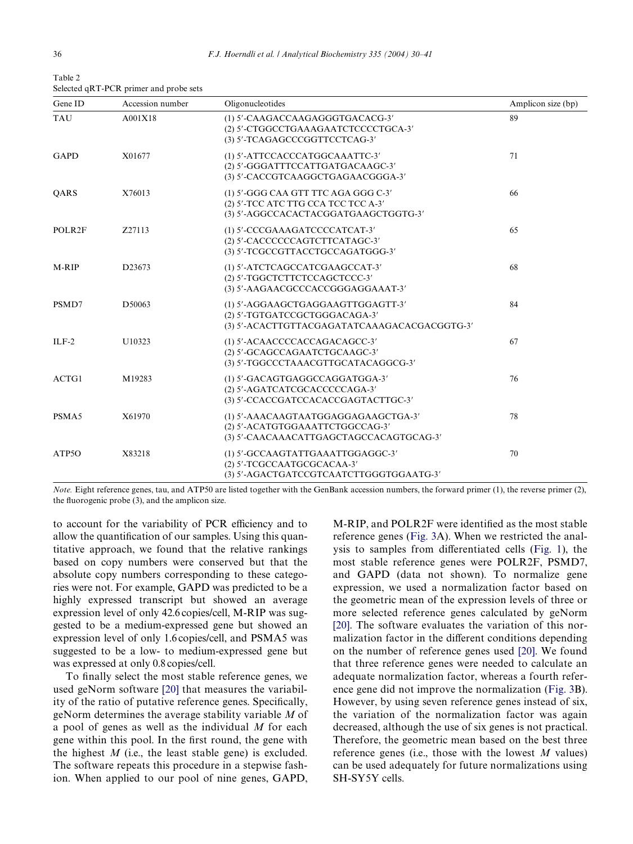<span id="page-6-0"></span>Table 2 Selected qRT-PCR primer and probe sets

| Gene ID     | Accession number | Oligonucleotides                                                                                                   | Amplicon size (bp) |
|-------------|------------------|--------------------------------------------------------------------------------------------------------------------|--------------------|
| <b>TAU</b>  | A001X18          | (1) 5'-CAAGACCAAGAGGGTGACACG-3'<br>(2) 5'-CTGGCCTGAAAGAATCTCCCCTGCA-3'<br>(3) 5'-TCAGAGCCCGGTTCCTCAG-3'            | 89                 |
| <b>GAPD</b> | X01677           | (1) 5'-ATTCCACCCATGGCAAATTC-3'<br>(2) 5'-GGGATTTCCATTGATGACAAGC-3'<br>(3) 5'-CACCGTCAAGGCTGAGAACGGGA-3'            | 71                 |
| <b>OARS</b> | X76013           | (1) 5'-GGG CAA GTT TTC AGA GGG C-3'<br>(2) 5'-TCC ATC TTG CCA TCC TCC A-3'<br>(3) 5'-AGGCCACACTACGGATGAAGCTGGTG-3' | 66                 |
| POLR2F      | Z27113           | (1) 5'-CCCGAAAGATCCCCATCAT-3'<br>(2) 5'-CACCCCCCAGTCTTCATAGC-3'<br>(3) 5'-TCGCCGTTACCTGCCAGATGGG-3'                | 65                 |
| M-RIP       | D23673           | (1) 5'-ATCTCAGCCATCGAAGCCAT-3'<br>(2) 5'-TGGCTCTTCTCCAGCTCCC-3'<br>(3) 5'-AAGAACGCCCACCGGGAGGAAAT-3'               | 68                 |
| PSMD7       | D50063           | (1) 5'-AGGAAGCTGAGGAAGTTGGAGTT-3'<br>(2) 5'-TGTGATCCGCTGGGACAGA-3'<br>(3) 5'-ACACTTGTTACGAGATATCAAAGACACGACGGTG-3' | 84                 |
| $ILF-2$     | U10323           | (1) 5'-ACAACCCCACCAGACAGCC-3'<br>(2) 5'-GCAGCCAGAATCTGCAAGC-3'<br>(3) 5'-TGGCCCTAAACGTTGCATACAGGCG-3'              | 67                 |
| ACTG1       | M19283           | (1) 5'-GACAGTGAGGCCAGGATGGA-3'<br>(2) 5'-AGATCATCGCACCCCCAGA-3'<br>(3) 5'-CCACCGATCCACACCGAGTACTTGC-3'             | 76                 |
| PSMA5       | X61970           | (1) 5'-AAACAAGTAATGGAGGAGAAGCTGA-3'<br>(2) 5'-ACATGTGGAAATTCTGGCCAG-3'<br>(3) 5'-CAACAAACATTGAGCTAGCCACAGTGCAG-3'  | 78                 |
| ATP5O       | X83218           | (1) 5'-GCCAAGTATTGAAATTGGAGGC-3'<br>(2) 5'-TCGCCAATGCGCACAA-3'<br>(3) 5'-AGACTGATCCGTCAATCTTGGGTGGAATG-3'          | 70                 |

*Note.* Eight reference genes, tau, and ATP50 are listed together with the GenBank accession numbers, the forward primer (1), the reverse primer (2), the fluorogenic probe  $(3)$ , and the amplicon size.

to account for the variability of PCR efficiency and to allow the quantification of our samples. Using this quantitative approach, we found that the relative rankings based on copy numbers were conserved but that the absolute copy numbers corresponding to these categories were not. For example, GAPD was predicted to be a highly expressed transcript but showed an average expression level of only 42.6 copies/cell, M-RIP was suggested to be a medium-expressed gene but showed an expression level of only 1.6 copies/cell, and PSMA5 was suggested to be a low- to medium-expressed gene but was expressed at only 0.8 copies/cell.

To finally select the most stable reference genes, we used geNorm software [\[20\]](#page-10-13) that measures the variability of the ratio of putative reference genes. Specifically, geNorm determines the average stability variable *M* of a pool of genes as well as the individual *M* for each gene within this pool. In the first round, the gene with the highest  $M$  (i.e., the least stable gene) is excluded. The software repeats this procedure in a stepwise fashion. When applied to our pool of nine genes, GAPD,

M-RIP, and POLR2F were identified as the most stable reference genes ([Fig. 3A](#page-7-0)). When we restricted the anal-ysis to samples from differentiated cells [\(Fig. 1\)](#page-2-0), the most stable reference genes were POLR2F, PSMD7, and GAPD (data not shown). To normalize gene expression, we used a normalization factor based on the geometric mean of the expression levels of three or more selected reference genes calculated by geNorm [\[20\]](#page-10-13). The software evaluates the variation of this normalization factor in the different conditions depending on the number of reference genes used [\[20\]](#page-10-13). We found that three reference genes were needed to calculate an adequate normalization factor, whereas a fourth reference gene did not improve the normalization ([Fig. 3](#page-7-0)B). However, by using seven reference genes instead of six, the variation of the normalization factor was again decreased, although the use of six genes is not practical. Therefore, the geometric mean based on the best three reference genes (i.e., those with the lowest *M* values) can be used adequately for future normalizations using SH-SY5Y cells.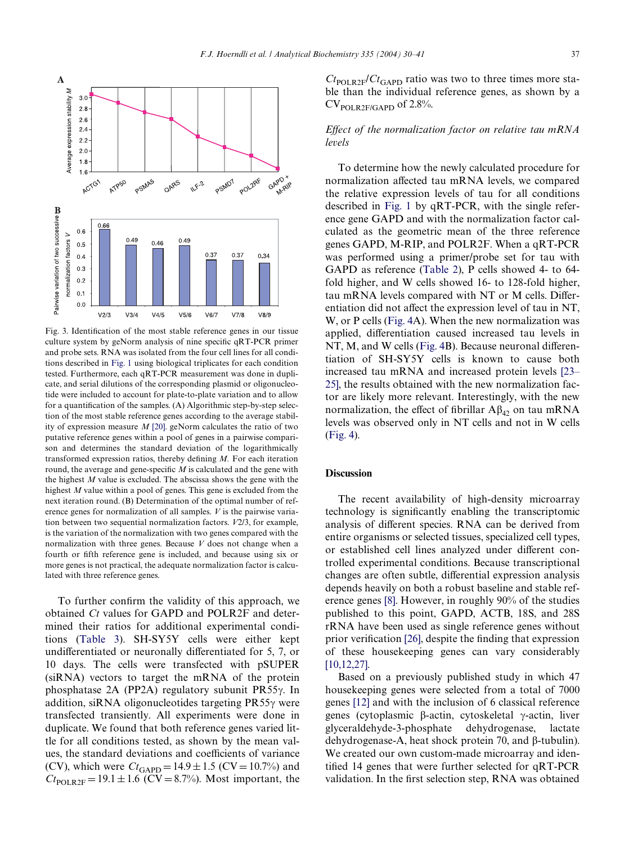

<span id="page-7-0"></span>Fig. 3. Identification of the most stable reference genes in our tissue culture system by geNorm analysis of nine specific qRT-PCR primer and probe sets. RNA was isolated from the four cell lines for all conditions described in [Fig. 1](#page-2-0) using biological triplicates for each condition tested. Furthermore, each qRT-PCR measurement was done in duplicate, and serial dilutions of the corresponding plasmid or oligonucleotide were included to account for plate-to-plate variation and to allow for a quantification of the samples. (A) Algorithmic step-by-step selection of the most stable reference genes according to the average stability of expression measure *M* [\[20\].](#page-10-13) geNorm calculates the ratio of two putative reference genes within a pool of genes in a pairwise comparison and determines the standard deviation of the logarithmically transformed expression ratios, thereby defining  $M$ . For each iteration round, the average and gene-specific  $M$  is calculated and the gene with the highest *M* value is excluded. The abscissa shows the gene with the highest *M* value within a pool of genes. This gene is excluded from the next iteration round. (B) Determination of the optimal number of reference genes for normalization of all samples. *V* is the pairwise variation between two sequential normalization factors. *V*2/3, for example, is the variation of the normalization with two genes compared with the normalization with three genes. Because *V* does not change when a fourth or fifth reference gene is included, and because using six or more genes is not practical, the adequate normalization factor is calculated with three reference genes.

To further confirm the validity of this approach, we obtained *Ct* values for GAPD and POLR2F and determined their ratios for additional experimental conditions ([Table 3](#page-8-0)). SH-SY5Y cells were either kept undifferentiated or neuronally differentiated for 5, 7, or 10 days. The cells were transfected with pSUPER (siRNA) vectors to target the mRNA of the protein phosphatase 2A (PP2A) regulatory subunit PR55γ. In addition, siRNA oligonucleotides targeting  $PR55\gamma$  were transfected transiently. All experiments were done in duplicate. We found that both reference genes varied little for all conditions tested, as shown by the mean values, the standard deviations and coefficients of variance (CV), which were  $Ct_{GAPD} = 14.9 \pm 1.5$  (CV = 10.7%) and  $Ct_{\text{POLR2F}} = 19.1 \pm 1.6 \text{ (CV} = 8.7\%)$ . Most important, the  $Ct_{\text{POLR2F}}/Ct_{\text{GAPD}}$  ratio was two to three times more stable than the individual reference genes, as shown by a  $CV<sub>POLR2F/GAPD</sub>$  of 2.8%.

# *Effect of the normalization factor on relative tau mRNA levels*

To determine how the newly calculated procedure for normalization affected tau mRNA levels, we compared the relative expression levels of tau for all conditions described in [Fig. 1](#page-2-0) by qRT-PCR, with the single reference gene GAPD and with the normalization factor calculated as the geometric mean of the three reference genes GAPD, M-RIP, and POLR2F. When a qRT-PCR was performed using a primer/probe set for tau with GAPD as reference ([Table 2\)](#page-6-0), P cells showed 4- to 64 fold higher, and W cells showed 16- to 128-fold higher, tau mRNA levels compared with NT or  $M$  cells. Differentiation did not affect the expression level of tau in NT, W, or P cells ([Fig. 4](#page-8-1)A). When the new normalization was applied, differentiation caused increased tau levels in  $NT, M$ , and W cells ([Fig. 4B](#page-8-1)). Because neuronal differentiation of SH-SY5Y cells is known to cause both increased tau mRNA and increased protein levels [\[23–](#page-10-16) [25\],](#page-10-16) the results obtained with the new normalization factor are likely more relevant. Interestingly, with the new normalization, the effect of fibrillar  $A\beta_{42}$  on tau mRNA levels was observed only in NT cells and not in W cells [\(Fig. 4](#page-8-1)).

# **Discussion**

The recent availability of high-density microarray technology is significantly enabling the transcriptomic analysis of different species. RNA can be derived from entire organisms or selected tissues, specialized cell types, or established cell lines analyzed under different controlled experimental conditions. Because transcriptional changes are often subtle, differential expression analysis depends heavily on both a robust baseline and stable reference genes [\[8\]](#page-10-3). However, in roughly 90% of the studies published to this point, GAPD, ACTB, 18S, and 28S rRNA have been used as single reference genes without prior verification  $[26]$ , despite the finding that expression of these housekeeping genes can vary considerably [\[10,12,27\].](#page-10-4)

Based on a previously published study in which 47 housekeeping genes were selected from a total of 7000 genes [\[12\]](#page-10-6) and with the inclusion of 6 classical reference genes (cytoplasmic β-actin, cytoskeletal γ-actin, liver glyceraldehyde-3-phosphate dehydrogenase, lactate dehydrogenase-A, heat shock protein 70, and  $\beta$ -tubulin). We created our own custom-made microarray and identified 14 genes that were further selected for  $qRT-PCR$ validation. In the first selection step, RNA was obtained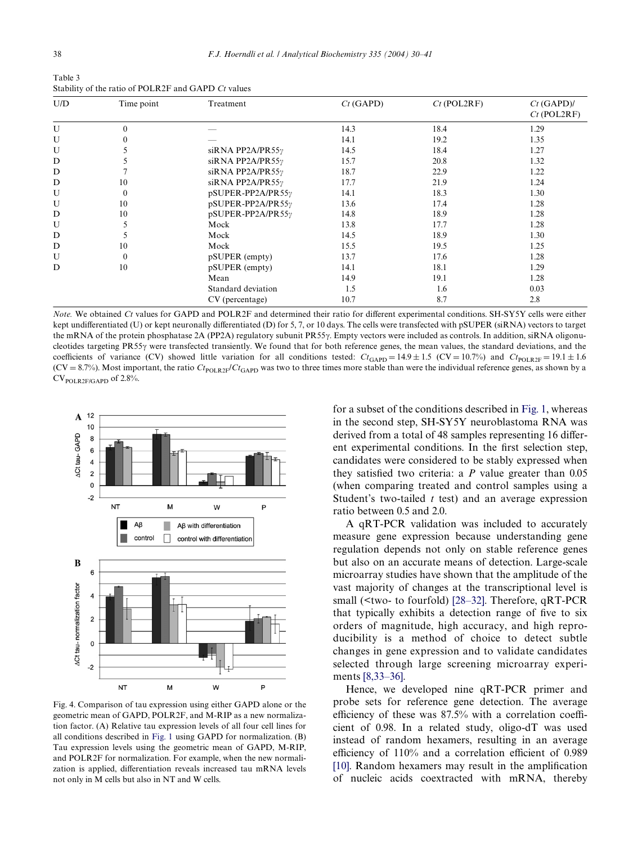<span id="page-8-0"></span>Table 3 Stability of the ratio of POLR2F and GAPD *Ct* values

| U/D | Time point       | Treatment                | $Ct$ (GAPD) | $Ct$ (POL2RF) | $Ct$ (GAPD)/<br>$Ct$ (POL2RF) |
|-----|------------------|--------------------------|-------------|---------------|-------------------------------|
| U   | $\theta$         |                          | 14.3        | 18.4          | 1.29                          |
| U   | $\theta$         |                          | 14.1        | 19.2          | 1.35                          |
| U   |                  | siRNA PP2A/PR55 $\gamma$ | 14.5        | 18.4          | 1.27                          |
| D   |                  | siRNA PP2A/PR55 $\gamma$ | 15.7        | 20.8          | 1.32                          |
| D   |                  | siRNA PP2A/PR55 $\gamma$ | 18.7        | 22.9          | 1.22                          |
| D   | 10               | siRNA PP2A/PR55 $\gamma$ | 17.7        | 21.9          | 1.24                          |
| U   | $\boldsymbol{0}$ | pSUPER-PP2A/PR55y        | 14.1        | 18.3          | 1.30                          |
| U   | 10               | pSUPER-PP2A/PR55y        | 13.6        | 17.4          | 1.28                          |
| D   | 10               | pSUPER-PP2A/PR55y        | 14.8        | 18.9          | 1.28                          |
| U   |                  | Mock                     | 13.8        | 17.7          | 1.28                          |
| D   |                  | Mock                     | 14.5        | 18.9          | 1.30                          |
| D   | 10               | Mock                     | 15.5        | 19.5          | 1.25                          |
| U   | $\theta$         | pSUPER (empty)           | 13.7        | 17.6          | 1.28                          |
| D   | 10               | pSUPER (empty)           | 14.1        | 18.1          | 1.29                          |
|     |                  | Mean                     | 14.9        | 19.1          | 1.28                          |
|     |                  | Standard deviation       | 1.5         | 1.6           | 0.03                          |
|     |                  | CV (percentage)          | 10.7        | 8.7           | 2.8                           |

*Note.* We obtained *Ct* values for GAPD and POLR2F and determined their ratio for different experimental conditions. SH-SY5Y cells were either kept undifferentiated (U) or kept neuronally differentiated (D) for 5, 7, or 10 days. The cells were transfected with pSUPER (siRNA) vectors to target the mRNA of the protein phosphatase 2A (PP2A) regulatory subunit PR55 $\gamma$ . Empty vectors were included as controls. In addition, siRNA oligonucleotides targeting PR55 $\gamma$  were transfected transiently. We found that for both reference genes, the mean values, the standard deviations, and the coefficients of variance (CV) showed little variation for all conditions tested:  $C_t$ <sub>GAPD</sub> = 14.9  $\pm$  1.5 (CV = 10.7%) and  $C_t$ <sub>POLR2F</sub> = 19.1  $\pm$  1.6  $(CV = 8.7\%)$ . Most important, the ratio  $Ct_{\text{POLR2F}}/Ct_{\text{GAPD}}$  was two to three times more stable than were the individual reference genes, as shown by a  $CV_{POLR2F/GAPD}$  of 2.8%.



<span id="page-8-1"></span>Fig. 4. Comparison of tau expression using either GAPD alone or the geometric mean of GAPD, POLR2F, and M-RIP as a new normalization factor. (A) Relative tau expression levels of all four cell lines for all conditions described in [Fig. 1](#page-2-0) using GAPD for normalization. (B) Tau expression levels using the geometric mean of GAPD, M-RIP, and POLR2F for normalization. For example, when the new normalization is applied, differentiation reveals increased tau mRNA levels not only in M cells but also in NT and W cells.

for a subset of the conditions described in [Fig. 1](#page-2-0), whereas in the second step, SH-SY5Y neuroblastoma RNA was derived from a total of 48 samples representing 16 different experimental conditions. In the first selection step, candidates were considered to be stably expressed when they satisfied two criteria: a  $P$  value greater than  $0.05$ (when comparing treated and control samples using a Student's two-tailed *t* test) and an average expression ratio between 0.5 and 2.0.

A qRT-PCR validation was included to accurately measure gene expression because understanding gene regulation depends not only on stable reference genes but also on an accurate means of detection. Large-scale microarray studies have shown that the amplitude of the vast majority of changes at the transcriptional level is small (<two- to fourfold) [\[28–32\].](#page-10-18) Therefore, qRT-PCR that typically exhibits a detection range of five to six orders of magnitude, high accuracy, and high reproducibility is a method of choice to detect subtle changes in gene expression and to validate candidates selected through large screening microarray experiments [\[8,33–36\]](#page-10-3).

Hence, we developed nine qRT-PCR primer and probe sets for reference gene detection. The average efficiency of these was  $87.5\%$  with a correlation coefficient of 0.98. In a related study, oligo-dT was used instead of random hexamers, resulting in an average efficiency of  $110\%$  and a correlation efficient of 0.989  $[10]$ . Random hexamers may result in the amplification of nucleic acids coextracted with mRNA, thereby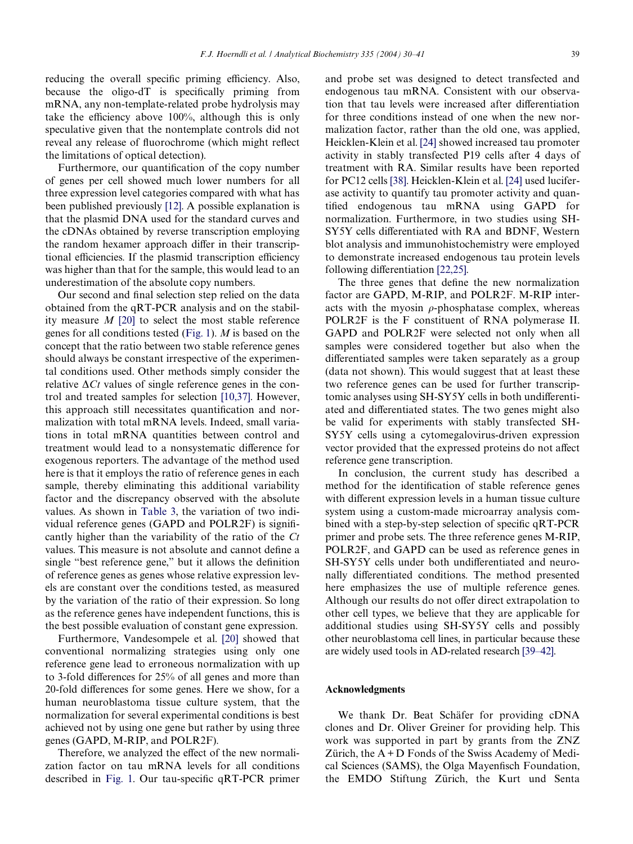reducing the overall specific priming efficiency. Also, because the oligo-d $T$  is specifically priming from mRNA, any non-template-related probe hydrolysis may take the efficiency above  $100\%$ , although this is only speculative given that the nontemplate controls did not reveal any release of fluorochrome (which might reflect the limitations of optical detection).

Furthermore, our quantification of the copy number of genes per cell showed much lower numbers for all three expression level categories compared with what has been published previously [\[12\].](#page-10-6) A possible explanation is that the plasmid DNA used for the standard curves and the cDNAs obtained by reverse transcription employing the random hexamer approach differ in their transcriptional efficiencies. If the plasmid transcription efficiency was higher than that for the sample, this would lead to an underestimation of the absolute copy numbers.

Our second and final selection step relied on the data obtained from the qRT-PCR analysis and on the stability measure *M* [\[20\]](#page-10-13) to select the most stable reference genes for all conditions tested [\(Fig. 1](#page-2-0)). *M* is based on the concept that the ratio between two stable reference genes should always be constant irrespective of the experimental conditions used. Other methods simply consider the relative  $\Delta C_t$  values of single reference genes in the control and treated samples for selection [\[10,37\].](#page-10-4) However, this approach still necessitates quantification and normalization with total mRNA levels. Indeed, small variations in total mRNA quantities between control and treatment would lead to a nonsystematic difference for exogenous reporters. The advantage of the method used here is that it employs the ratio of reference genes in each sample, thereby eliminating this additional variability factor and the discrepancy observed with the absolute values. As shown in [Table 3](#page-8-0), the variation of two individual reference genes (GAPD and POLR2F) is significantly higher than the variability of the ratio of the *Ct* values. This measure is not absolute and cannot define a single "best reference gene," but it allows the definition of reference genes as genes whose relative expression levels are constant over the conditions tested, as measured by the variation of the ratio of their expression. So long as the reference genes have independent functions, this is the best possible evaluation of constant gene expression.

Furthermore, Vandesompele et al. [\[20\]](#page-10-13) showed that conventional normalizing strategies using only one reference gene lead to erroneous normalization with up to 3-fold differences for 25% of all genes and more than 20-fold differences for some genes. Here we show, for a human neuroblastoma tissue culture system, that the normalization for several experimental conditions is best achieved not by using one gene but rather by using three genes (GAPD, M-RIP, and POLR2F).

Therefore, we analyzed the effect of the new normalization factor on tau mRNA levels for all conditions described in [Fig. 1](#page-2-0). Our tau-specific  $qRT-PCR$  primer and probe set was designed to detect transfected and endogenous tau mRNA. Consistent with our observation that tau levels were increased after differentiation for three conditions instead of one when the new normalization factor, rather than the old one, was applied, Heicklen-Klein et al. [\[24\]](#page-10-19) showed increased tau promoter activity in stably transfected P19 cells after 4 days of treatment with RA. Similar results have been reported for PC12 cells [\[38\]](#page-11-0). Heicklen-Klein et al. [\[24\]](#page-10-19) used luciferase activity to quantify tau promoter activity and quantified endogenous tau mRNA using GAPD for normalization. Furthermore, in two studies using SH-SY5Y cells differentiated with RA and BDNF, Western blot analysis and immunohistochemistry were employed to demonstrate increased endogenous tau protein levels following differentiation  $[22,25]$ .

The three genes that define the new normalization factor are GAPD, M-RIP, and POLR2F. M-RIP interacts with the myosin  $\rho$ -phosphatase complex, whereas POLR2F is the F constituent of RNA polymerase II. GAPD and POLR2F were selected not only when all samples were considered together but also when the differentiated samples were taken separately as a group (data not shown). This would suggest that at least these two reference genes can be used for further transcriptomic analyses using SH-SY5Y cells in both undifferentiated and differentiated states. The two genes might also be valid for experiments with stably transfected SH-SY5Y cells using a cytomegalovirus-driven expression vector provided that the expressed proteins do not affect reference gene transcription.

In conclusion, the current study has described a method for the identification of stable reference genes with different expression levels in a human tissue culture system using a custom-made microarray analysis combined with a step-by-step selection of specific  $qRT-PCR$ primer and probe sets. The three reference genes M-RIP, POLR2F, and GAPD can be used as reference genes in SH-SY5Y cells under both undifferentiated and neuronally differentiated conditions. The method presented here emphasizes the use of multiple reference genes. Although our results do not offer direct extrapolation to other cell types, we believe that they are applicable for additional studies using SH-SY5Y cells and possibly other neuroblastoma cell lines, in particular because these are widely used tools in AD-related research [\[39–42\].](#page-11-1)

#### **Acknowledgments**

We thank Dr. Beat Schäfer for providing cDNA clones and Dr. Oliver Greiner for providing help. This work was supported in part by grants from the ZNZ Zürich, the  $A + D$  Fonds of the Swiss Academy of Medical Sciences (SAMS), the Olga Mayenfisch Foundation, the EMDO Stiftung Zürich, the Kurt und Senta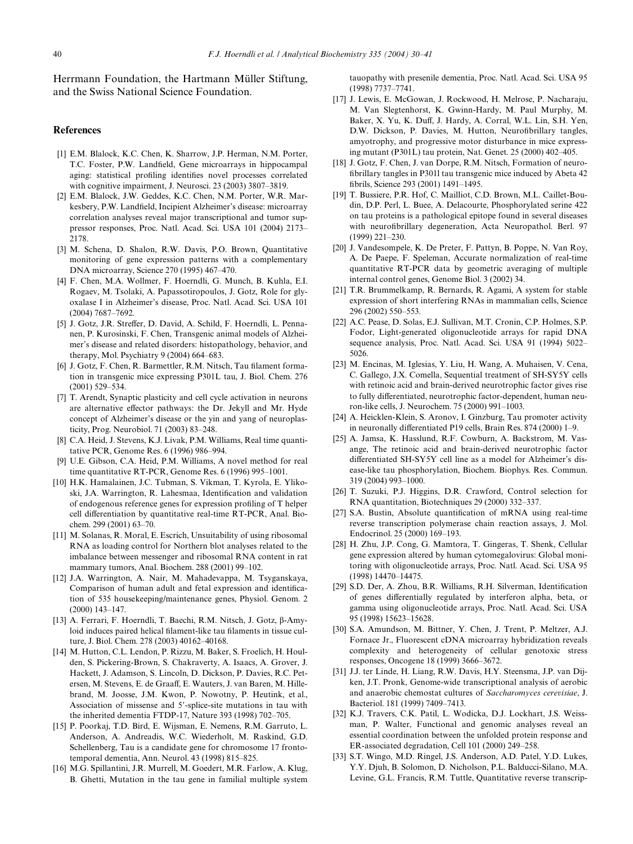Herrmann Foundation, the Hartmann Müller Stiftung, and the Swiss National Science Foundation.

## **References**

- <span id="page-10-0"></span>[1] E.M. Blalock, K.C. Chen, K. Sharrow, J.P. Herman, N.M. Porter, T.C. Foster, P.W. Landfield, Gene microarrays in hippocampal aging: statistical profiling identifies novel processes correlated with cognitive impairment, J. Neurosci. 23 (2003) 3807–3819.
- [2] E.M. Blalock, J.W. Geddes, K.C. Chen, N.M. Porter, W.R. Markesbery, P.W. Landfield, Incipient Alzheimer's disease: microarray correlation analyses reveal major transcriptional and tumor suppressor responses, Proc. Natl. Acad. Sci. USA 101 (2004) 2173– 2178.
- <span id="page-10-1"></span>[3] M. Schena, D. Shalon, R.W. Davis, P.O. Brown, Quantitative monitoring of gene expression patterns with a complementary DNA microarray, Science 270 (1995) 467–470.
- [4] F. Chen, M.A. Wollmer, F. Hoerndli, G. Munch, B. Kuhla, E.I. Rogaev, M. Tsolaki, A. Papassotiropoulos, J. Gotz, Role for glyoxalase I in Alzheimer's disease, Proc. Natl. Acad. Sci. USA 101 (2004) 7687–7692.
- <span id="page-10-2"></span>[5] J. Gotz, J.R. Streffer, D. David, A. Schild, F. Hoerndli, L. Pennanen, P. Kurosinski, F. Chen, Transgenic animal models of Alzheimer's disease and related disorders: histopathology, behavior, and therapy, Mol. Psychiatry 9 (2004) 664–683.
- <span id="page-10-9"></span>[6] J. Gotz, F. Chen, R. Barmettler, R.M. Nitsch, Tau filament formation in transgenic mice expressing P301L tau, J. Biol. Chem. 276 (2001) 529–534.
- [7] T. Arendt, Synaptic plasticity and cell cycle activation in neurons are alternative effector pathways: the Dr. Jekyll and Mr. Hyde concept of Alzheimer's disease or the yin and yang of neuroplasticity, Prog. Neurobiol. 71 (2003) 83–248.
- <span id="page-10-3"></span>[8] C.A. Heid, J. Stevens, K.J. Livak, P.M. Williams, Real time quantitative PCR, Genome Res. 6 (1996) 986–994.
- [9] U.E. Gibson, C.A. Heid, P.M. Williams, A novel method for real time quantitative RT-PCR, Genome Res. 6 (1996) 995–1001.
- <span id="page-10-4"></span>[10] H.K. Hamalainen, J.C. Tubman, S. Vikman, T. Kyrola, E. Ylikoski, J.A. Warrington, R. Lahesmaa, Identification and validation of endogenous reference genes for expression profiling of T helper cell differentiation by quantitative real-time RT-PCR, Anal. Biochem. 299 (2001) 63–70.
- <span id="page-10-5"></span>[11] M. Solanas, R. Moral, E. Escrich, Unsuitability of using ribosomal RNA as loading control for Northern blot analyses related to the imbalance between messenger and ribosomal RNA content in rat mammary tumors, Anal. Biochem. 288 (2001) 99–102.
- <span id="page-10-6"></span>[12] J.A. Warrington, A. Nair, M. Mahadevappa, M. Tsyganskaya, Comparison of human adult and fetal expression and identification of 535 housekeeping/maintenance genes, Physiol. Genom. 2 (2000) 143–147.
- <span id="page-10-7"></span>[13] A. Ferrari, F. Hoerndli, T. Baechi, R.M. Nitsch, J. Gotz,  $\beta$ -Amyloid induces paired helical filament-like tau filaments in tissue culture, J. Biol. Chem. 278 (2003) 40162–40168.
- <span id="page-10-8"></span>[14] M. Hutton, C.L. Lendon, P. Rizzu, M. Baker, S. Froelich, H. Houlden, S. Pickering-Brown, S. Chakraverty, A. Isaacs, A. Grover, J. Hackett, J. Adamson, S. Lincoln, D. Dickson, P. Davies, R.C. Petersen, M. Stevens, E. de Graaff, E. Wauters, J. van Baren, M. Hillebrand, M. Joosse, J.M. Kwon, P. Nowotny, P. Heutink, et al., Association of missense and 5'-splice-site mutations in tau with the inherited dementia FTDP-17, Nature 393 (1998) 702–705.
- [15] P. Poorkaj, T.D. Bird, E. Wijsman, E. Nemens, R.M. Garruto, L. Anderson, A. Andreadis, W.C. Wiederholt, M. Raskind, G.D. Schellenberg, Tau is a candidate gene for chromosome 17 frontotemporal dementia, Ann. Neurol. 43 (1998) 815–825.
- [16] M.G. Spillantini, J.R. Murrell, M. Goedert, M.R. Farlow, A. Klug, B. Ghetti, Mutation in the tau gene in familial multiple system

tauopathy with presenile dementia, Proc. Natl. Acad. Sci. USA 95 (1998) 7737–7741.

- <span id="page-10-10"></span>[17] J. Lewis, E. McGowan, J. Rockwood, H. Melrose, P. Nacharaju, M. Van Slegtenhorst, K. Gwinn-Hardy, M. Paul Murphy, M. Baker, X. Yu, K. Duff, J. Hardy, A. Corral, W.L. Lin, S.H. Yen, D.W. Dickson, P. Davies, M. Hutton, Neurofibrillary tangles, amyotrophy, and progressive motor disturbance in mice expressing mutant (P301L) tau protein, Nat. Genet. 25 (2000) 402–405.
- <span id="page-10-11"></span>[18] J. Gotz, F. Chen, J. van Dorpe, R.M. Nitsch, Formation of neurofibrillary tangles in P3011 tau transgenic mice induced by Abeta 42 fibrils, Science 293 (2001) 1491-1495.
- <span id="page-10-12"></span>[19] T. Bussiere, P.R. Hof, C. Mailliot, C.D. Brown, M.L. Caillet-Boudin, D.P. Perl, L. Buee, A. Delacourte, Phosphorylated serine 422 on tau proteins is a pathological epitope found in several diseases with neurofibrillary degeneration, Acta Neuropathol. Berl. 97 (1999) 221–230.
- <span id="page-10-13"></span>[20] J. Vandesompele, K. De Preter, F. Pattyn, B. Poppe, N. Van Roy, A. De Paepe, F. Speleman, Accurate normalization of real-time quantitative RT-PCR data by geometric averaging of multiple internal control genes, Genome Biol. 3 (2002) 34.
- <span id="page-10-14"></span>[21] T.R. Brummelkamp, R. Bernards, R. Agami, A system for stable expression of short interfering RNAs in mammalian cells, Science 296 (2002) 550–553.
- <span id="page-10-15"></span>[22] A.C. Pease, D. Solas, E.J. Sullivan, M.T. Cronin, C.P. Holmes, S.P. Fodor, Light-generated oligonucleotide arrays for rapid DNA sequence analysis, Proc. Natl. Acad. Sci. USA 91 (1994) 5022– 5026.
- <span id="page-10-16"></span>[23] M. Encinas, M. Iglesias, Y. Liu, H. Wang, A. Muhaisen, V. Cena, C. Gallego, J.X. Comella, Sequential treatment of SH-SY5Y cells with retinoic acid and brain-derived neurotrophic factor gives rise to fully differentiated, neurotrophic factor-dependent, human neuron-like cells, J. Neurochem. 75 (2000) 991–1003.
- <span id="page-10-19"></span>[24] A. Heicklen-Klein, S. Aronov, I. Ginzburg, Tau promoter activity in neuronally differentiated P19 cells, Brain Res. 874 (2000) 1-9.
- [25] A. Jamsa, K. Hasslund, R.F. Cowburn, A. Backstrom, M. Vasange, The retinoic acid and brain-derived neurotrophic factor differentiated SH-SY5Y cell line as a model for Alzheimer's disease-like tau phosphorylation, Biochem. Biophys. Res. Commun. 319 (2004) 993–1000.
- <span id="page-10-17"></span>[26] T. Suzuki, P.J. Higgins, D.R. Crawford, Control selection for RNA quantitation, Biotechniques 29 (2000) 332–337.
- [27] S.A. Bustin, Absolute quantification of mRNA using real-time reverse transcription polymerase chain reaction assays, J. Mol. Endocrinol. 25 (2000) 169–193.
- <span id="page-10-18"></span>[28] H. Zhu, J.P. Cong, G. Mamtora, T. Gingeras, T. Shenk, Cellular gene expression altered by human cytomegalovirus: Global monitoring with oligonucleotide arrays, Proc. Natl. Acad. Sci. USA 95 (1998) 14470–14475.
- [29] S.D. Der, A. Zhou, B.R. Williams, R.H. Silverman, Identification of genes differentially regulated by interferon alpha, beta, or gamma using oligonucleotide arrays, Proc. Natl. Acad. Sci. USA 95 (1998) 15623–15628.
- [30] S.A. Amundson, M. Bittner, Y. Chen, J. Trent, P. Meltzer, A.J. Fornace Jr., Fluorescent cDNA microarray hybridization reveals complexity and heterogeneity of cellular genotoxic stress responses, Oncogene 18 (1999) 3666–3672.
- [31] J.J. ter Linde, H. Liang, R.W. Davis, H.Y. Steensma, J.P. van Dijken, J.T. Pronk, Genome-wide transcriptional analysis of aerobic and anaerobic chemostat cultures of *Saccharomyces cerevisiae*, J. Bacteriol. 181 (1999) 7409–7413.
- [32] K.J. Travers, C.K. Patil, L. Wodicka, D.J. Lockhart, J.S. Weissman, P. Walter, Functional and genomic analyses reveal an essential coordination between the unfolded protein response and ER-associated degradation, Cell 101 (2000) 249–258.
- [33] S.T. Wingo, M.D. Ringel, J.S. Anderson, A.D. Patel, Y.D. Lukes, Y.Y. Djuh, B. Solomon, D. Nicholson, P.L. Balducci-Silano, M.A. Levine, G.L. Francis, R.M. Tuttle, Quantitative reverse transcrip-